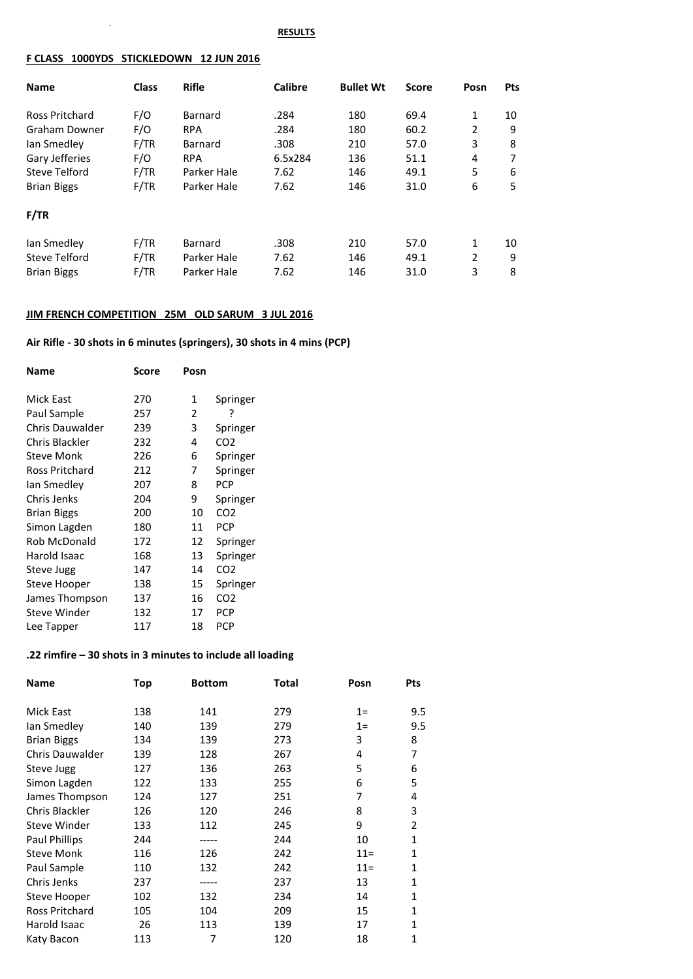#### **RESULTS**

#### **F CLASS 1000YDS STICKLEDOWN 12 JUN 2016**

 $\sim$ 

| <b>Name</b>           | <b>Class</b> | <b>Rifle</b>   | <b>Calibre</b> | <b>Bullet Wt</b> | <b>Score</b> | Posn           | <b>Pts</b> |
|-----------------------|--------------|----------------|----------------|------------------|--------------|----------------|------------|
|                       |              |                |                |                  |              |                |            |
| <b>Ross Pritchard</b> | F/O          | <b>Barnard</b> | .284           | 180              | 69.4         | 1              | 10         |
| Graham Downer         | F/O          | <b>RPA</b>     | .284           | 180              | 60.2         | 2              | 9          |
| lan Smedley           | F/TR         | Barnard        | .308           | 210              | 57.0         | 3              | 8          |
| Gary Jefferies        | F/O          | <b>RPA</b>     | 6.5x284        | 136              | 51.1         | 4              | 7          |
| Steve Telford         | F/TR         | Parker Hale    | 7.62           | 146              | 49.1         | 5              | 6          |
| <b>Brian Biggs</b>    | F/TR         | Parker Hale    | 7.62           | 146              | 31.0         | 6              | 5          |
| F/TR                  |              |                |                |                  |              |                |            |
| lan Smedley           | F/TR         | <b>Barnard</b> | .308           | 210              | 57.0         | 1              | 10         |
| Steve Telford         | F/TR         | Parker Hale    | 7.62           | 146              | 49.1         | $\overline{2}$ | 9          |
| <b>Brian Biggs</b>    | F/TR         | Parker Hale    | 7.62           | 146              | 31.0         | 3              | 8          |

### **JIM FRENCH COMPETITION 25M OLD SARUM 3 JUL 2016**

# **Air Rifle - 30 shots in 6 minutes (springers), 30 shots in 4 mins (PCP)**

| Name                   | Score | Posn |                 |
|------------------------|-------|------|-----------------|
| Mick East              | 270   | 1    | Springer        |
| Paul Sample            | 257   | 2    | 7               |
| <b>Chris Dauwalder</b> | 239   | 3    | Springer        |
| Chris Blackler         | 232   | 4    | CO <sub>2</sub> |
| Steve Monk             | 226   | 6    | Springer        |
| Ross Pritchard         | 212   | 7    | Springer        |
| Ian Smedlev            | 207   | 8    | <b>PCP</b>      |
| Chris Jenks            | 204   | 9    | Springer        |
| <b>Brian Biggs</b>     | 200   | 10   | CO <sub>2</sub> |
| Simon Lagden           | 180   | 11   | <b>PCP</b>      |
| Rob McDonald           | 172   | 12   | Springer        |
| Harold Isaac           | 168   | 13   | Springer        |
| Steve Jugg             | 147   | 14   | CO <sub>2</sub> |
| Steve Hooper           | 138   | 15   | Springer        |
| James Thompson         | 137   | 16   | CO2             |
| Steve Winder           | 132   | 17   | PCP             |
| Lee Tapper             | 117   | 18   | PCP             |

## **.22 rimfire – 30 shots in 3 minutes to include all loading**

| <b>Name</b>           | Top | <b>Bottom</b> | Total | Posn   | <b>Pts</b>     |
|-----------------------|-----|---------------|-------|--------|----------------|
| Mick East             | 138 | 141           | 279   | $1=$   | 9.5            |
| lan Smedley           | 140 | 139           | 279   | $1=$   | 9.5            |
| <b>Brian Biggs</b>    | 134 | 139           | 273   | 3      | 8              |
| Chris Dauwalder       | 139 | 128           | 267   | 4      | 7              |
| Steve Jugg            | 127 | 136           | 263   | 5      | 6              |
| Simon Lagden          | 122 | 133           | 255   | 6      | 5              |
| James Thompson        | 124 | 127           | 251   | 7      | 4              |
| Chris Blackler        | 126 | 120           | 246   | 8      | 3              |
| <b>Steve Winder</b>   | 133 | 112           | 245   | 9      | $\overline{2}$ |
| <b>Paul Phillips</b>  | 244 | -----         | 244   | 10     | 1              |
| <b>Steve Monk</b>     | 116 | 126           | 242   | $11 =$ | 1              |
| Paul Sample           | 110 | 132           | 242   | $11 =$ | 1              |
| Chris Jenks           | 237 | -----         | 237   | 13     | 1              |
| Steve Hooper          | 102 | 132           | 234   | 14     | 1              |
| <b>Ross Pritchard</b> | 105 | 104           | 209   | 15     | 1              |
| Harold Isaac          | 26  | 113           | 139   | 17     | 1              |
| Katy Bacon            | 113 | 7             | 120   | 18     | 1              |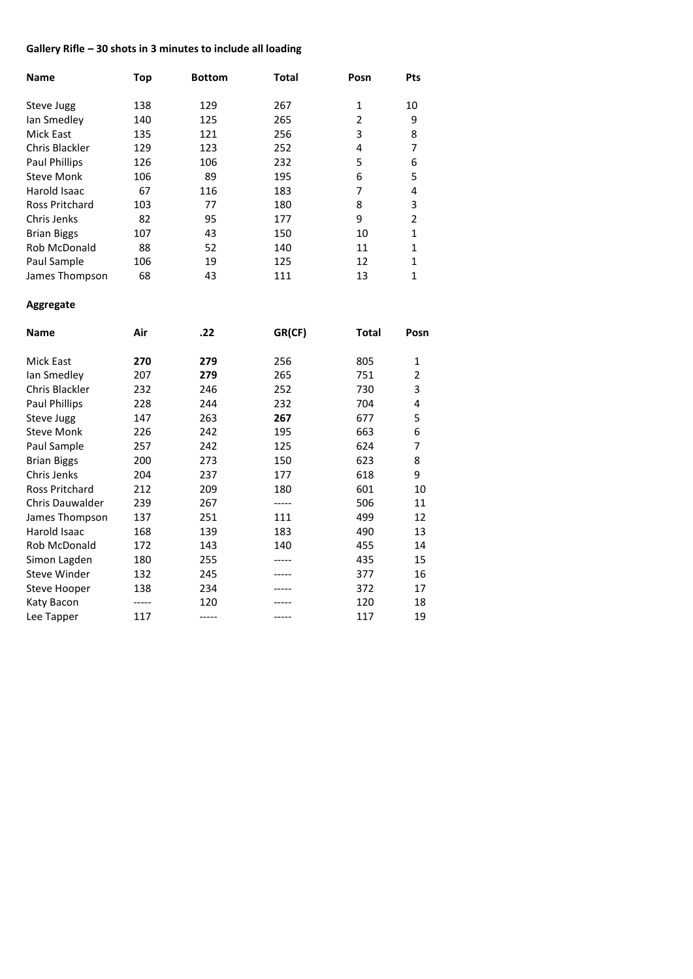# **Gallery Rifle – 30 shots in 3 minutes to include all loading**

| <b>Name</b>          | Top | <b>Bottom</b> | <b>Total</b> | Posn           | Pts          |
|----------------------|-----|---------------|--------------|----------------|--------------|
| Steve Jugg           | 138 | 129           | 267          | 1              | 10           |
| lan Smedley          | 140 | 125           | 265          | $\overline{2}$ | 9            |
| Mick East            | 135 | 121           | 256          | 3              | 8            |
| Chris Blackler       | 129 | 123           | 252          | 4              | 7            |
| <b>Paul Phillips</b> | 126 | 106           | 232          | 5              | 6            |
| <b>Steve Monk</b>    | 106 | 89            | 195          | 6              | 5            |
| Harold Isaac         | 67  | 116           | 183          | 7              | 4            |
| Ross Pritchard       | 103 | 77            | 180          | 8              | 3            |
| Chris Jenks          | 82  | 95            | 177          | 9              | 2            |
| <b>Brian Biggs</b>   | 107 | 43            | 150          | 10             | 1            |
| Rob McDonald         | 88  | 52            | 140          | 11             | 1            |
| Paul Sample          | 106 | 19            | 125          | 12             | $\mathbf{1}$ |
| James Thompson       | 68  | 43            | 111          | 13             | 1            |

## **Aggregate**

| Name                   | Air | .22 | GR(CF) | <b>Total</b> | Posn           |
|------------------------|-----|-----|--------|--------------|----------------|
| Mick East              | 270 | 279 | 256    | 805          | $\mathbf{1}$   |
| lan Smedley            | 207 | 279 | 265    | 751          | $\overline{2}$ |
| Chris Blackler         | 232 | 246 | 252    | 730          | 3              |
| Paul Phillips          | 228 | 244 | 232    | 704          | 4              |
| Steve Jugg             | 147 | 263 | 267    | 677          | 5              |
| <b>Steve Monk</b>      | 226 | 242 | 195    | 663          | 6              |
| Paul Sample            | 257 | 242 | 125    | 624          | 7              |
| <b>Brian Biggs</b>     | 200 | 273 | 150    | 623          | 8              |
| Chris Jenks            | 204 | 237 | 177    | 618          | 9              |
| Ross Pritchard         | 212 | 209 | 180    | 601          | 10             |
| <b>Chris Dauwalder</b> | 239 | 267 | -----  | 506          | 11             |
| James Thompson         | 137 | 251 | 111    | 499          | 12             |
| Harold Isaac           | 168 | 139 | 183    | 490          | 13             |
| Rob McDonald           | 172 | 143 | 140    | 455          | 14             |
| Simon Lagden           | 180 | 255 |        | 435          | 15             |
| <b>Steve Winder</b>    | 132 | 245 |        | 377          | 16             |
| Steve Hooper           | 138 | 234 |        | 372          | 17             |
| Katy Bacon             |     | 120 |        | 120          | 18             |
| Lee Tapper             | 117 |     |        | 117          | 19             |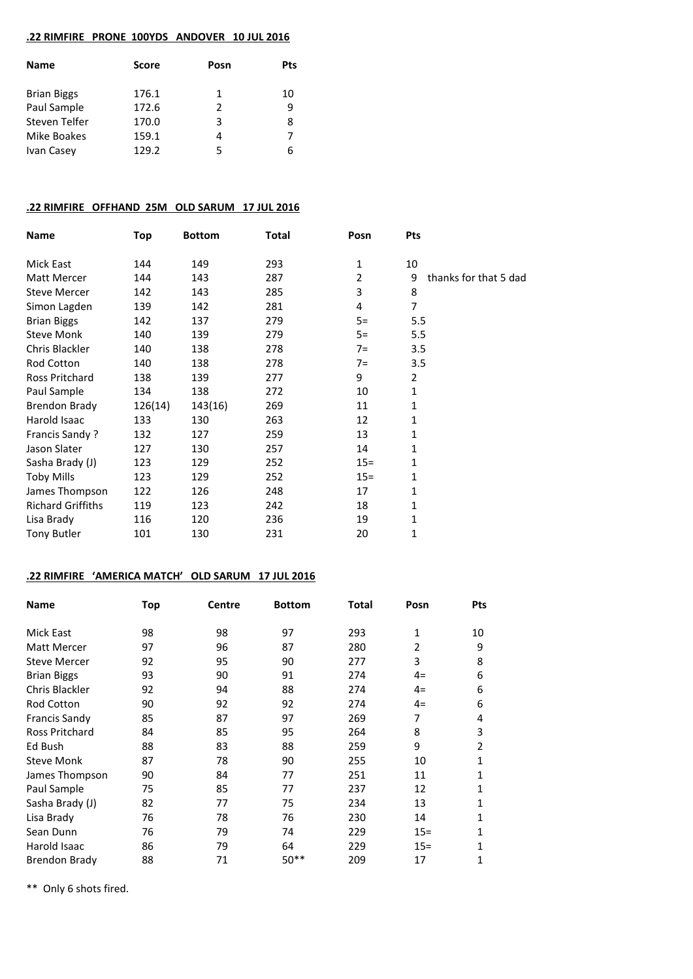### **.22 RIMFIRE PRONE 100YDS ANDOVER 10 JUL 2016**

| Score | Posn          | <b>Pts</b> |
|-------|---------------|------------|
| 176.1 | 1             | 10         |
| 172.6 | $\mathcal{P}$ | q          |
| 170.0 | 3             | 8          |
| 159.1 | 4             |            |
| 129.2 | 5             | 6          |
|       |               |            |

### **.22 RIMFIRE OFFHAND 25M OLD SARUM 17 JUL 2016**

| Name                     | <b>Top</b> | <b>Bottom</b> | Total | Posn           | Pts                        |
|--------------------------|------------|---------------|-------|----------------|----------------------------|
| Mick East                | 144        | 149           | 293   | 1              | 10                         |
| <b>Matt Mercer</b>       | 144        | 143           | 287   | $\overline{2}$ | 9<br>thanks for that 5 dad |
| <b>Steve Mercer</b>      | 142        | 143           | 285   | 3              | 8                          |
| Simon Lagden             | 139        | 142           | 281   | 4              | 7                          |
| <b>Brian Biggs</b>       | 142        | 137           | 279   | $5=$           | 5.5                        |
| <b>Steve Monk</b>        | 140        | 139           | 279   | $5=$           | 5.5                        |
| Chris Blackler           | 140        | 138           | 278   | $7=$           | 3.5                        |
| Rod Cotton               | 140        | 138           | 278   | $7=$           | 3.5                        |
| Ross Pritchard           | 138        | 139           | 277   | 9              | $\overline{2}$             |
| Paul Sample              | 134        | 138           | 272   | 10             | 1                          |
| <b>Brendon Brady</b>     | 126(14)    | 143(16)       | 269   | 11             | 1                          |
| Harold Isaac             | 133        | 130           | 263   | 12             | 1                          |
| Francis Sandy?           | 132        | 127           | 259   | 13             | 1                          |
| Jason Slater             | 127        | 130           | 257   | 14             | 1                          |
| Sasha Brady (J)          | 123        | 129           | 252   | $15 =$         | 1                          |
| <b>Toby Mills</b>        | 123        | 129           | 252   | $15 =$         | 1                          |
| James Thompson           | 122        | 126           | 248   | 17             | 1                          |
| <b>Richard Griffiths</b> | 119        | 123           | 242   | 18             | 1                          |
| Lisa Brady               | 116        | 120           | 236   | 19             | 1                          |
| <b>Tony Butler</b>       | 101        | 130           | 231   | 20             | 1                          |

## **.22 RIMFIRE 'AMERICA MATCH' OLD SARUM 17 JUL 2016**

| <b>Name</b>           | <b>Top</b> | <b>Centre</b> | <b>Bottom</b> | Total | Posn   | <b>Pts</b>     |
|-----------------------|------------|---------------|---------------|-------|--------|----------------|
| Mick East             | 98         | 98            | 97            | 293   | 1      | 10             |
| <b>Matt Mercer</b>    | 97         | 96            | 87            | 280   | 2      | 9              |
| <b>Steve Mercer</b>   | 92         | 95            | 90            | 277   | 3      | 8              |
| <b>Brian Biggs</b>    | 93         | 90            | 91            | 274   | $4=$   | 6              |
| Chris Blackler        | 92         | 94            | 88            | 274   | $4=$   | 6              |
| <b>Rod Cotton</b>     | 90         | 92            | 92            | 274   | $4=$   | 6              |
| <b>Francis Sandy</b>  | 85         | 87            | 97            | 269   | 7      | 4              |
| <b>Ross Pritchard</b> | 84         | 85            | 95            | 264   | 8      | 3              |
| Ed Bush               | 88         | 83            | 88            | 259   | 9      | $\overline{2}$ |
| <b>Steve Monk</b>     | 87         | 78            | 90            | 255   | 10     | 1              |
| James Thompson        | 90         | 84            | 77            | 251   | 11     | 1              |
| Paul Sample           | 75         | 85            | 77            | 237   | 12     | 1              |
| Sasha Brady (J)       | 82         | 77            | 75            | 234   | 13     | 1              |
| Lisa Brady            | 76         | 78            | 76            | 230   | 14     | 1              |
| Sean Dunn             | 76         | 79            | 74            | 229   | $15 =$ | 1              |
| Harold Isaac          | 86         | 79            | 64            | 229   | $15 =$ | 1              |
| Brendon Brady         | 88         | 71            | $50**$        | 209   | 17     | 1              |

\*\* Only 6 shots fired.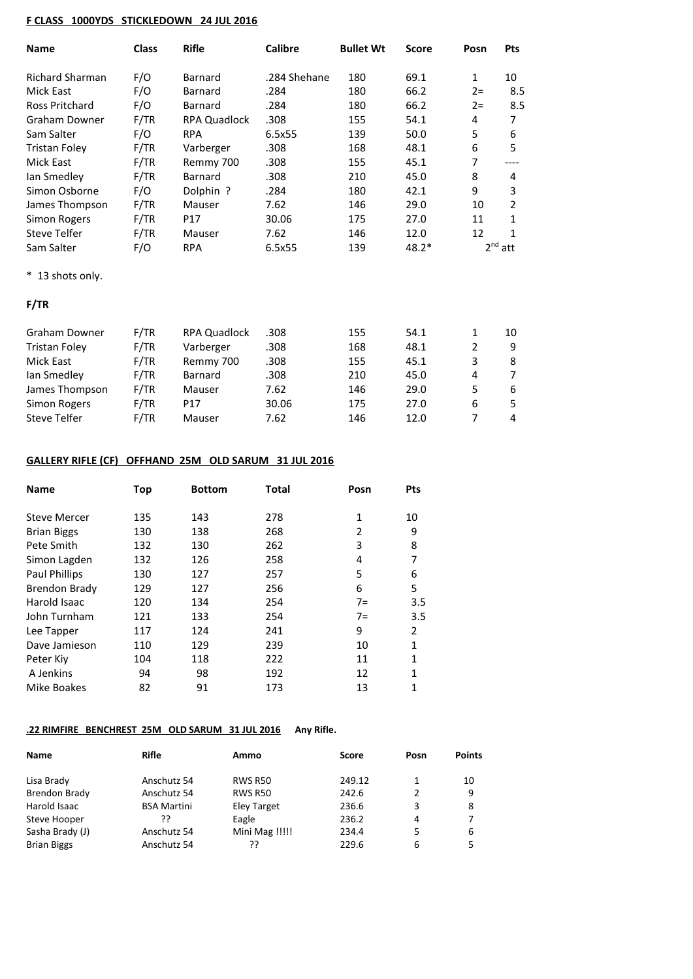### **F CLASS 1000YDS STICKLEDOWN 24 JUL 2016**

| <b>Name</b>          | <b>Class</b> | <b>Rifle</b>        | Calibre      | <b>Bullet Wt</b> | <b>Score</b> | Posn  | Pts       |
|----------------------|--------------|---------------------|--------------|------------------|--------------|-------|-----------|
| Richard Sharman      | F/O          | Barnard             | .284 Shehane | 180              | 69.1         | 1     | 10        |
| Mick East            | F/O          | Barnard             | .284         | 180              | 66.2         | $2 =$ | 8.5       |
| Ross Pritchard       | F/O          | Barnard             | .284         | 180              | 66.2         | $2 =$ | 8.5       |
| <b>Graham Downer</b> | F/TR         | <b>RPA Quadlock</b> | .308         | 155              | 54.1         | 4     | 7         |
| Sam Salter           | F/O          | <b>RPA</b>          | 6.5x55       | 139              | 50.0         | 5     | 6         |
| Tristan Foley        | F/TR         | Varberger           | .308         | 168              | 48.1         | 6     | 5         |
| Mick East            | F/TR         | Remmy 700           | .308         | 155              | 45.1         | 7     | ----      |
| Ian Smedley          | F/TR         | <b>Barnard</b>      | .308         | 210              | 45.0         | 8     | 4         |
| Simon Osborne        | F/O          | Polphin ?           | .284         | 180              | 42.1         | 9     | 3         |
| James Thompson       | F/TR         | Mauser              | 7.62         | 146              | 29.0         | 10    | 2         |
| <b>Simon Rogers</b>  | F/TR         | P17                 | 30.06        | 175              | 27.0         | 11    | 1         |
| Steve Telfer         | F/TR         | Mauser              | 7.62         | 146              | 12.0         | 12    | 1         |
| Sam Salter           | F/O          | <b>RPA</b>          | 6.5x55       | 139              | $48.2*$      |       | $2nd$ att |

\* 13 shots only.

## **F/TR**

| Graham Downer        | F/TR | <b>RPA Quadlock</b> | .308  | 155 | 54.1 |   | 10  |
|----------------------|------|---------------------|-------|-----|------|---|-----|
| <b>Tristan Foley</b> | F/TR | Varberger           | .308  | 168 | 48.1 |   | 9   |
| Mick East            | F/TR | Remmy 700           | .308  | 155 | 45.1 | 3 | 8   |
| lan Smedley          | F/TR | Barnard             | .308  | 210 | 45.0 | 4 | 7   |
| James Thompson       | F/TR | Mauser              | 7.62  | 146 | 29.0 | 5 | 6   |
| Simon Rogers         | F/TR | P <sub>17</sub>     | 30.06 | 175 | 27.0 | 6 | .5. |
| Steve Telfer         | F/TR | Mauser              | 7.62  | 146 | 12.0 |   | 4   |

## **GALLERY RIFLE (CF) OFFHAND 25M OLD SARUM 31 JUL 2016**

| <b>Name</b>          | Top | <b>Bottom</b> | Total | Posn | <b>Pts</b> |
|----------------------|-----|---------------|-------|------|------------|
| <b>Steve Mercer</b>  | 135 | 143           | 278   | 1    | 10         |
| <b>Brian Biggs</b>   | 130 | 138           | 268   | 2    | 9          |
| Pete Smith           | 132 | 130           | 262   | 3    | 8          |
| Simon Lagden         | 132 | 126           | 258   | 4    | 7          |
| <b>Paul Phillips</b> | 130 | 127           | 257   | 5    | 6          |
| <b>Brendon Brady</b> | 129 | 127           | 256   | 6    | 5          |
| Harold Isaac         | 120 | 134           | 254   | $7=$ | 3.5        |
| John Turnham         | 121 | 133           | 254   | $7=$ | 3.5        |
| Lee Tapper           | 117 | 124           | 241   | 9    | 2          |
| Dave Jamieson        | 110 | 129           | 239   | 10   | 1          |
| Peter Kiy            | 104 | 118           | 222   | 11   | 1          |
| A Jenkins            | 94  | 98            | 192   | 12   | 1          |
| <b>Mike Boakes</b>   | 82  | 91            | 173   | 13   | 1          |

# **.22 RIMFIRE BENCHREST 25M OLD SARUM 31 JUL 2016 Any Rifle.**

| <b>Name</b>        | Rifle              | Ammo               | Score  | Posn | <b>Points</b> |
|--------------------|--------------------|--------------------|--------|------|---------------|
| Lisa Brady         | Anschutz 54        | <b>RWS R50</b>     | 249.12 | 1    | 10            |
| Brendon Brady      | Anschutz 54        | <b>RWS R50</b>     | 242.6  | 2    | 9             |
| Harold Isaac       | <b>BSA Martini</b> | <b>Eley Target</b> | 236.6  | 3    | 8             |
| Steve Hooper       | ??                 | Eagle              | 236.2  | 4    |               |
| Sasha Brady (J)    | Anschutz 54        | Mini Mag !!!!!     | 234.4  | 5    | 6             |
| <b>Brian Biggs</b> | Anschutz 54        | ??                 | 229.6  | 6    | 5             |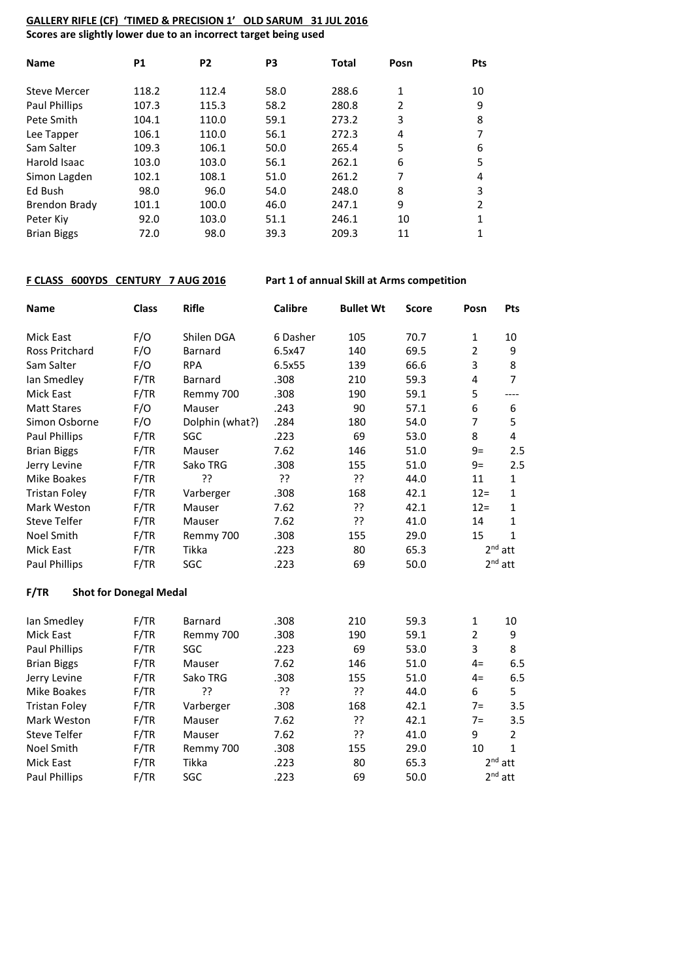### **GALLERY RIFLE (CF) 'TIMED & PRECISION 1' OLD SARUM 31 JUL 2016 Scores are slightly lower due to an incorrect target being used**

| <b>Name</b>          | <b>P1</b> | P <sub>2</sub> | P <sub>3</sub> | <b>Total</b> | Posn           | <b>Pts</b> |
|----------------------|-----------|----------------|----------------|--------------|----------------|------------|
| <b>Steve Mercer</b>  | 118.2     | 112.4          | 58.0           | 288.6        | 1              | 10         |
| <b>Paul Phillips</b> | 107.3     | 115.3          | 58.2           | 280.8        | $\overline{2}$ | 9          |
| Pete Smith           | 104.1     | 110.0          | 59.1           | 273.2        | 3              | 8          |
| Lee Tapper           | 106.1     | 110.0          | 56.1           | 272.3        | 4              | 7          |
| Sam Salter           | 109.3     | 106.1          | 50.0           | 265.4        | 5              | 6          |
| Harold Isaac         | 103.0     | 103.0          | 56.1           | 262.1        | 6              | 5          |
| Simon Lagden         | 102.1     | 108.1          | 51.0           | 261.2        | 7              | 4          |
| Ed Bush              | 98.0      | 96.0           | 54.0           | 248.0        | 8              | 3          |
| <b>Brendon Brady</b> | 101.1     | 100.0          | 46.0           | 247.1        | 9              | 2          |
| Peter Kiv            | 92.0      | 103.0          | 51.1           | 246.1        | 10             | 1          |
| <b>Brian Biggs</b>   | 72.0      | 98.0           | 39.3           | 209.3        | 11             | 1          |

## **F CLASS 600YDS CENTURY 7 AUG 2016 Part 1 of annual Skill at Arms competition**

| <b>Name</b>                           | <b>Class</b> | <b>Rifle</b>    | <b>Calibre</b> | <b>Bullet Wt</b> | <b>Score</b> | Posn           | Pts            |
|---------------------------------------|--------------|-----------------|----------------|------------------|--------------|----------------|----------------|
| <b>Mick East</b>                      | F/O          | Shilen DGA      | 6 Dasher       | 105              | 70.7         | $\mathbf{1}$   | 10             |
| <b>Ross Pritchard</b>                 | F/O          | <b>Barnard</b>  | 6.5x47         | 140              | 69.5         | $\overline{2}$ | 9              |
| Sam Salter                            | F/O          | <b>RPA</b>      | 6.5x55         | 139              | 66.6         | 3              | 8              |
| lan Smedley                           | F/TR         | Barnard         | .308           | 210              | 59.3         | 4              | $\overline{7}$ |
| <b>Mick East</b>                      | F/TR         | Remmy 700       | .308           | 190              | 59.1         | 5              | $---$          |
| <b>Matt Stares</b>                    | F/O          | Mauser          | .243           | 90               | 57.1         | 6              | 6              |
| Simon Osborne                         | F/O          | Dolphin (what?) | .284           | 180              | 54.0         | 7              | 5              |
| Paul Phillips                         | F/TR         | SGC             | .223           | 69               | 53.0         | 8              | 4              |
| <b>Brian Biggs</b>                    | F/TR         | Mauser          | 7.62           | 146              | 51.0         | $9=$           | 2.5            |
| Jerry Levine                          | F/TR         | Sako TRG        | .308           | 155              | 51.0         | $9=$           | 2.5            |
| <b>Mike Boakes</b>                    | F/TR         | ??              | ??             | ??               | 44.0         | 11             | $\mathbf{1}$   |
| <b>Tristan Foley</b>                  | F/TR         | Varberger       | .308           | 168              | 42.1         | $12 =$         | $\mathbf 1$    |
| Mark Weston                           | F/TR         | Mauser          | 7.62           | ??               | 42.1         | $12 =$         | 1              |
| <b>Steve Telfer</b>                   | F/TR         | Mauser          | 7.62           | ??               | 41.0         | 14             | $\mathbf{1}$   |
| Noel Smith                            | F/TR         | Remmy 700       | .308           | 155              | 29.0         | 15             | $\mathbf{1}$   |
| Mick East                             | F/TR         | Tikka           | .223<br>80     |                  | 65.3         | $2nd$ att      |                |
| Paul Phillips                         | F/TR         | SGC             | .223           | 69               | 50.0         | $2nd$ att      |                |
| F/TR<br><b>Shot for Donegal Medal</b> |              |                 |                |                  |              |                |                |
| lan Smedley                           | F/TR         | <b>Barnard</b>  | .308           | 210              | 59.3         | $\mathbf{1}$   | 10             |
| <b>Mick East</b>                      | F/TR         | Remmy 700       | .308           | 190              | 59.1         | $\overline{2}$ | 9              |
| Paul Phillips                         | F/TR         | SGC             | .223           | 69               | 53.0         | 3              | 8              |
| <b>Brian Biggs</b>                    | F/TR         | Mauser          | 7.62           | 146              | 51.0         | $4=$           | 6.5            |
| Jerry Levine                          | F/TR         | Sako TRG        | .308           | 155              | 51.0         | $4=$           | 6.5            |
| <b>Mike Boakes</b>                    | F/TR         | 55              | 55             | 55               | 44.0         | 6              | 5              |
| <b>Tristan Foley</b>                  | F/TR         | Varberger       | .308           | 168              | 42.1         | $7=$           | 3.5            |
| Mark Weston                           | F/TR         | Mauser          | 7.62           | ??               | 42.1         | $7=$           | 3.5            |
| <b>Steve Telfer</b>                   | F/TR         | Mauser          | 7.62           | 55               | 41.0         | 9              | $\overline{2}$ |
| Noel Smith                            | F/TR         | Remmy 700       | .308           | 155              | 29.0         | 10             | $\mathbf{1}$   |
| <b>Mick East</b>                      | F/TR         | Tikka           | .223           | 80               | 65.3         | $2nd$ att      |                |
| <b>Paul Phillips</b>                  | F/TR         | SGC             | .223           | 69               | 50.0         | $2nd$ att      |                |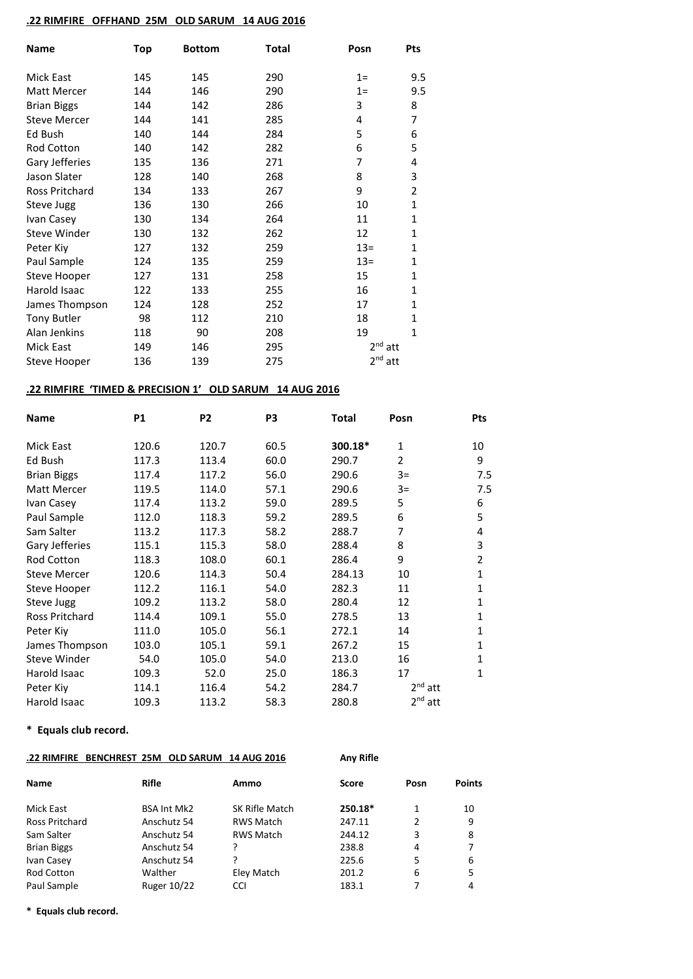### **.22 RIMFIRE OFFHAND 25M OLD SARUM 14 AUG 2016**

| Name                | <b>Top</b> | <b>Bottom</b> | Total | Posn         | Pts            |
|---------------------|------------|---------------|-------|--------------|----------------|
| Mick East           | 145        | 145           | 290   | $1=$         | 9.5            |
| Matt Mercer         | 144        | 146           | 290   | $1=$         | 9.5            |
| <b>Brian Biggs</b>  | 144        | 142           | 286   | 3            | 8              |
| <b>Steve Mercer</b> | 144        | 141           | 285   | 4            | 7              |
| Ed Bush             | 140        | 144           | 284   | 5            | 6              |
| Rod Cotton          | 140        | 142           | 282   | 6            | 5              |
| Gary Jefferies      | 135        | 136           | 271   | 7            | 4              |
| Jason Slater        | 128        | 140           | 268   | 8            | 3              |
| Ross Pritchard      | 134        | 133           | 267   | 9            | $\overline{2}$ |
| Steve Jugg          | 136        | 130           | 266   | 10           | $\mathbf{1}$   |
| Ivan Casey          | 130        | 134           | 264   | 11           | $\mathbf{1}$   |
| Steve Winder        | 130        | 132           | 262   | 12           | $\mathbf{1}$   |
| Peter Kiy           | 127        | 132           | 259   | $13 =$       | $\mathbf{1}$   |
| Paul Sample         | 124        | 135           | 259   | $13 =$       | $\mathbf{1}$   |
| Steve Hooper        | 127        | 131           | 258   | 15           | $\mathbf{1}$   |
| Harold Isaac        | 122        | 133           | 255   | 16           | $\mathbf{1}$   |
| James Thompson      | 124        | 128           | 252   | 17           | $\mathbf{1}$   |
| <b>Tony Butler</b>  | 98         | 112           | 210   | 18           | $\mathbf{1}$   |
| Alan Jenkins        | 118        | 90            | 208   | 19           | $\mathbf{1}$   |
| <b>Mick East</b>    | 149        | 146           | 295   | $2^{nd}$ att |                |
| Steve Hooper        | 136        | 139           | 275   | $2nd$ att    |                |

## **.22 RIMFIRE 'TIMED & PRECISION 1' OLD SARUM 14 AUG 2016**

| Name                | <b>P1</b> | P <sub>2</sub> | P3   | <b>Total</b> | Posn      | Pts |
|---------------------|-----------|----------------|------|--------------|-----------|-----|
| Mick East           | 120.6     | 120.7          | 60.5 | 300.18*      | 1         | 10  |
| Ed Bush             | 117.3     | 113.4          | 60.0 | 290.7        | 2         | 9   |
| <b>Brian Biggs</b>  | 117.4     | 117.2          | 56.0 | 290.6        | $3=$      | 7.5 |
| Matt Mercer         | 119.5     | 114.0          | 57.1 | 290.6        | $3=$      | 7.5 |
| Ivan Casey          | 117.4     | 113.2          | 59.0 | 289.5        | 5         | 6   |
| Paul Sample         | 112.0     | 118.3          | 59.2 | 289.5        | 6         | 5   |
| Sam Salter          | 113.2     | 117.3          | 58.2 | 288.7        | 7         | 4   |
| Gary Jefferies      | 115.1     | 115.3          | 58.0 | 288.4        | 8         | 3   |
| Rod Cotton          | 118.3     | 108.0          | 60.1 | 286.4        | 9         | 2   |
| <b>Steve Mercer</b> | 120.6     | 114.3          | 50.4 | 284.13       | 10        | 1   |
| Steve Hooper        | 112.2     | 116.1          | 54.0 | 282.3        | 11        | 1   |
| Steve Jugg          | 109.2     | 113.2          | 58.0 | 280.4        | 12        | 1   |
| Ross Pritchard      | 114.4     | 109.1          | 55.0 | 278.5        | 13        | 1   |
| Peter Kiv           | 111.0     | 105.0          | 56.1 | 272.1        | 14        | 1   |
| James Thompson      | 103.0     | 105.1          | 59.1 | 267.2        | 15        | 1   |
| Steve Winder        | 54.0      | 105.0          | 54.0 | 213.0        | 16        | 1   |
| Harold Isaac        | 109.3     | 52.0           | 25.0 | 186.3        | 17        | 1   |
| Peter Kiy           | 114.1     | 116.4          | 54.2 | 284.7        | $2nd$ att |     |
| Harold Isaac        | 109.3     | 113.2          | 58.3 | 280.8        | $2nd$ att |     |

## **\* Equals club record.**

### **.22 RIMFIRE BENCHREST 25M OLD SARUM 14 AUG 2016 Any Rifle**

| <b>Name</b>        | <b>Rifle</b>       | Ammo             | <b>Score</b> | Posn | <b>Points</b> |
|--------------------|--------------------|------------------|--------------|------|---------------|
| Mick East          | <b>BSA Int Mk2</b> | SK Rifle Match   | 250.18*      |      | 10            |
| Ross Pritchard     | Anschutz 54        | <b>RWS Match</b> | 247.11       | 2    | 9             |
| Sam Salter         | Anschutz 54        | <b>RWS Match</b> | 244.12       | 3    | 8             |
| <b>Brian Biggs</b> | Anschutz 54        |                  | 238.8        | 4    | 7             |
| Ivan Casey         | Anschutz 54        |                  | 225.6        | 5    | 6             |
| <b>Rod Cotton</b>  | Walther            | Eley Match       | 201.2        | 6    | 5             |
| Paul Sample        | <b>Ruger 10/22</b> | CCI              | 183.1        |      | 4             |

**\* Equals club record.**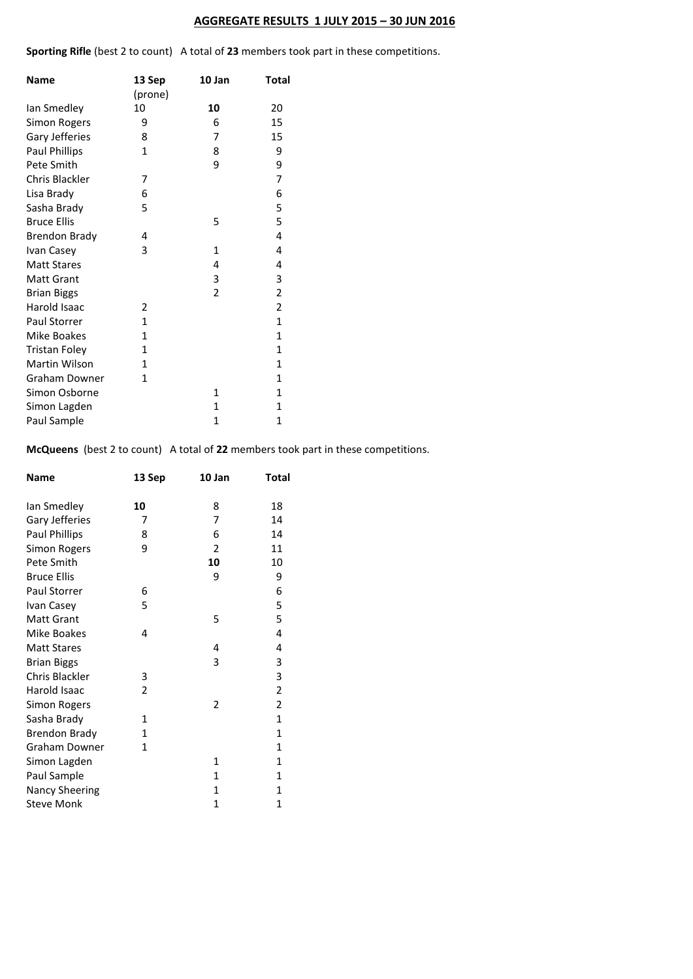## **AGGREGATE RESULTS 1 JULY 2015 – 30 JUN 2016**

**Sporting Rifle** (best 2 to count) A total of **23** members took part in these competitions.

| <b>Name</b>          | 13 Sep<br>(prone) | 10 Jan         | Total          |
|----------------------|-------------------|----------------|----------------|
| Ian Smedley          | 10                | 10             | 20             |
| Simon Rogers         | 9                 | 6              | 15             |
| Gary Jefferies       | 8                 | 7              | 15             |
| <b>Paul Phillips</b> | 1                 | 8              | 9              |
| Pete Smith           |                   | 9              | 9              |
| Chris Blackler       | 7                 |                | 7              |
| Lisa Brady           | 6                 |                | 6              |
| Sasha Brady          | 5                 |                | 5              |
| <b>Bruce Ellis</b>   |                   | 5              | 5              |
| <b>Brendon Brady</b> | 4                 |                | 4              |
| Ivan Casey           | 3                 | $\mathbf{1}$   | 4              |
| <b>Matt Stares</b>   |                   | 4              | 4              |
| <b>Matt Grant</b>    |                   | 3              | 3              |
| <b>Brian Biggs</b>   |                   | $\overline{2}$ | $\overline{2}$ |
| Harold Isaac         | 2                 |                | $\overline{2}$ |
| <b>Paul Storrer</b>  | 1                 |                | $\mathbf{1}$   |
| Mike Boakes          | 1                 |                | $\mathbf{1}$   |
| <b>Tristan Foley</b> | 1                 |                | $\mathbf{1}$   |
| Martin Wilson        | 1                 |                | 1              |
| <b>Graham Downer</b> | 1                 |                | $\mathbf{1}$   |
| Simon Osborne        |                   | 1              | $\mathbf{1}$   |
| Simon Lagden         |                   | $\mathbf{1}$   | $\mathbf{1}$   |
| Paul Sample          |                   | $\mathbf{1}$   | $\mathbf{1}$   |

**McQueens** (best 2 to count) A total of **22** members took part in these competitions.

| Name                  | 13 Sep       | 10 Jan         | Total        |
|-----------------------|--------------|----------------|--------------|
| lan Smedley           | 10           | 8              | 18           |
| Gary Jefferies        | 7            | 7              | 14           |
| <b>Paul Phillips</b>  | 8            | 6              | 14           |
| Simon Rogers          | 9            | $\overline{2}$ | 11           |
| Pete Smith            |              | 10             | 10           |
| <b>Bruce Ellis</b>    |              | 9              | 9            |
| Paul Storrer          | 6            |                | 6            |
| Ivan Casey            | 5            |                | 5            |
| <b>Matt Grant</b>     |              | 5              | 5            |
| Mike Boakes           | 4            |                | 4            |
| <b>Matt Stares</b>    |              | 4              | 4            |
| <b>Brian Biggs</b>    |              | 3              | 3            |
| Chris Blackler        | 3            |                | 3            |
| Harold Isaac          | 2            |                | 2            |
| Simon Rogers          |              | 2              | 2            |
| Sasha Brady           | 1            |                | $\mathbf{1}$ |
| <b>Brendon Brady</b>  | $\mathbf{1}$ |                | $\mathbf{1}$ |
| Graham Downer         | 1            |                | $\mathbf{1}$ |
| Simon Lagden          |              | $\mathbf{1}$   | $\mathbf{1}$ |
| Paul Sample           |              | $\mathbf{1}$   | 1            |
| <b>Nancy Sheering</b> |              | $\mathbf{1}$   | 1            |
| <b>Steve Monk</b>     |              | 1              | 1            |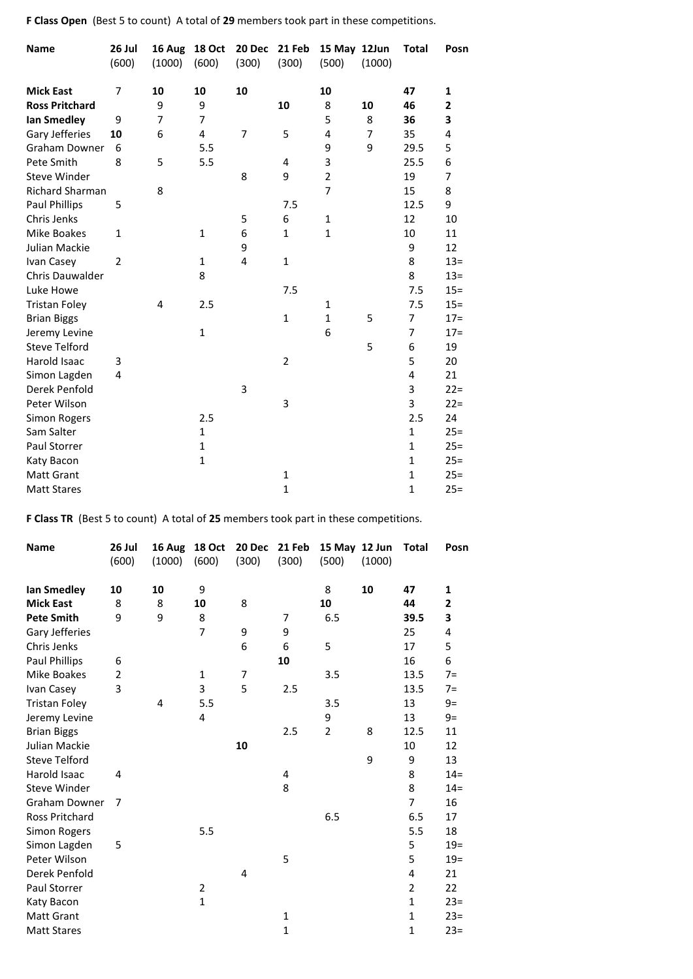**F Class Open** (Best 5 to count) A total of **29** members took part in these competitions.

| <b>Name</b>            | 26 Jul<br>(600) | 16 Aug<br>(1000) | <b>18 Oct</b><br>(600) | 20 Dec<br>(300) | 21 Feb<br>(300) | 15 May 12Jun<br>(500) | (1000)         | <b>Total</b> | Posn   |
|------------------------|-----------------|------------------|------------------------|-----------------|-----------------|-----------------------|----------------|--------------|--------|
|                        |                 |                  |                        |                 |                 |                       |                |              |        |
| <b>Mick East</b>       | 7               | 10               | 10                     | 10              |                 | 10                    |                | 47           | 1      |
| <b>Ross Pritchard</b>  |                 | 9                | 9                      |                 | 10              | 8                     | 10             | 46           | 2      |
| lan Smedley            | 9               | 7                | 7                      |                 |                 | 5                     | 8              | 36           | 3      |
| Gary Jefferies         | 10              | 6                | 4                      | 7               | 5               | 4                     | $\overline{7}$ | 35           | 4      |
| <b>Graham Downer</b>   | 6               |                  | 5.5                    |                 |                 | 9                     | 9              | 29.5         | 5      |
| Pete Smith             | 8               | 5                | 5.5                    |                 | 4               | 3                     |                | 25.5         | 6      |
| Steve Winder           |                 |                  |                        | 8               | 9               | $\overline{2}$        |                | 19           | 7      |
| <b>Richard Sharman</b> |                 | 8                |                        |                 |                 | 7                     |                | 15           | 8      |
| Paul Phillips          | 5               |                  |                        |                 | 7.5             |                       |                | 12.5         | 9      |
| Chris Jenks            |                 |                  |                        | 5               | 6               | $\mathbf{1}$          |                | 12           | 10     |
| Mike Boakes            | $\mathbf{1}$    |                  | $\mathbf{1}$           | 6               | $\mathbf{1}$    | $\mathbf{1}$          |                | 10           | 11     |
| Julian Mackie          |                 |                  |                        | 9               |                 |                       |                | 9            | 12     |
| Ivan Casey             | $\overline{2}$  |                  | $\mathbf{1}$           | 4               | $\mathbf{1}$    |                       |                | 8            | $13 =$ |
| Chris Dauwalder        |                 |                  | 8                      |                 |                 |                       |                | 8            | $13 =$ |
| Luke Howe              |                 |                  |                        |                 | 7.5             |                       |                | 7.5          | $15 =$ |
| <b>Tristan Foley</b>   |                 | 4                | 2.5                    |                 |                 | $\mathbf{1}$          |                | 7.5          | $15 =$ |
| <b>Brian Biggs</b>     |                 |                  |                        |                 | $\mathbf{1}$    | $\mathbf{1}$          | 5              | 7            | $17 =$ |
| Jeremy Levine          |                 |                  | $\mathbf{1}$           |                 |                 | 6                     |                | 7            | $17=$  |
| <b>Steve Telford</b>   |                 |                  |                        |                 |                 |                       | 5              | 6            | 19     |
| Harold Isaac           | 3               |                  |                        |                 | $\overline{2}$  |                       |                | 5            | 20     |
| Simon Lagden           | 4               |                  |                        |                 |                 |                       |                | 4            | 21     |
| Derek Penfold          |                 |                  |                        | 3               |                 |                       |                | 3            | $22 =$ |
| Peter Wilson           |                 |                  |                        |                 | 3               |                       |                | 3            | $22 =$ |
| Simon Rogers           |                 |                  | 2.5                    |                 |                 |                       |                | 2.5          | 24     |
| Sam Salter             |                 |                  | $\mathbf{1}$           |                 |                 |                       |                | $\mathbf{1}$ | $25 =$ |
| Paul Storrer           |                 |                  | $\mathbf{1}$           |                 |                 |                       |                | $\mathbf{1}$ | $25 =$ |
| Katy Bacon             |                 |                  | $\mathbf{1}$           |                 |                 |                       |                | $\mathbf{1}$ | $25 =$ |
| <b>Matt Grant</b>      |                 |                  |                        |                 | 1               |                       |                | $\mathbf{1}$ | $25 =$ |
| <b>Matt Stares</b>     |                 |                  |                        |                 | $\mathbf{1}$    |                       |                | $\mathbf{1}$ | $25 =$ |

**F Class TR** (Best 5 to count) A total of **25** members took part in these competitions.

| <b>Name</b>          | 26 Jul | 16 Aug | 18 Oct         | 20 Dec         | 21 Feb       | 15 May 12 Jun  |        | Total          | Posn   |
|----------------------|--------|--------|----------------|----------------|--------------|----------------|--------|----------------|--------|
|                      | (600)  | (1000) | (600)          | (300)          | (300)        | (500)          | (1000) |                |        |
| lan Smedley          | 10     | 10     | 9              |                |              | 8              | 10     | 47             | 1      |
| <b>Mick East</b>     | 8      | 8      | 10             | 8              |              | 10             |        | 44             | 2      |
| <b>Pete Smith</b>    | 9      | 9      | 8              |                | 7            | 6.5            |        | 39.5           | 3      |
| Gary Jefferies       |        |        | $\overline{7}$ | 9              | 9            |                |        | 25             | 4      |
| Chris Jenks          |        |        |                | 6              | 6            | 5              |        | 17             | 5      |
| <b>Paul Phillips</b> | 6      |        |                |                | 10           |                |        | 16             | 6      |
| Mike Boakes          | 2      |        | 1              | $\overline{7}$ |              | 3.5            |        | 13.5           | $7=$   |
| Ivan Casey           | 3      |        | 3              | 5              | 2.5          |                |        | 13.5           | $7=$   |
| <b>Tristan Foley</b> |        | 4      | 5.5            |                |              | 3.5            |        | 13             | $9=$   |
| Jeremy Levine        |        |        | 4              |                |              | 9              |        | 13             | $9=$   |
| <b>Brian Biggs</b>   |        |        |                |                | 2.5          | $\overline{2}$ | 8      | 12.5           | 11     |
| Julian Mackie        |        |        |                | 10             |              |                |        | 10             | 12     |
| <b>Steve Telford</b> |        |        |                |                |              |                | 9      | 9              | 13     |
| Harold Isaac         | 4      |        |                |                | 4            |                |        | 8              | $14 =$ |
| Steve Winder         |        |        |                |                | 8            |                |        | 8              | $14 =$ |
| <b>Graham Downer</b> | 7      |        |                |                |              |                |        | $\overline{7}$ | 16     |
| Ross Pritchard       |        |        |                |                |              | 6.5            |        | 6.5            | 17     |
| Simon Rogers         |        |        | 5.5            |                |              |                |        | 5.5            | 18     |
| Simon Lagden         | 5      |        |                |                |              |                |        | 5              | $19 =$ |
| Peter Wilson         |        |        |                |                | 5            |                |        | 5              | $19=$  |
| Derek Penfold        |        |        |                | 4              |              |                |        | 4              | 21     |
| Paul Storrer         |        |        | $\overline{2}$ |                |              |                |        | $\overline{2}$ | 22     |
| Katy Bacon           |        |        | $\mathbf 1$    |                |              |                |        | $\mathbf 1$    | $23 =$ |
| <b>Matt Grant</b>    |        |        |                |                | $\mathbf{1}$ |                |        | $\mathbf{1}$   | $23 =$ |
| <b>Matt Stares</b>   |        |        |                |                | $\mathbf{1}$ |                |        | $\mathbf{1}$   | $23=$  |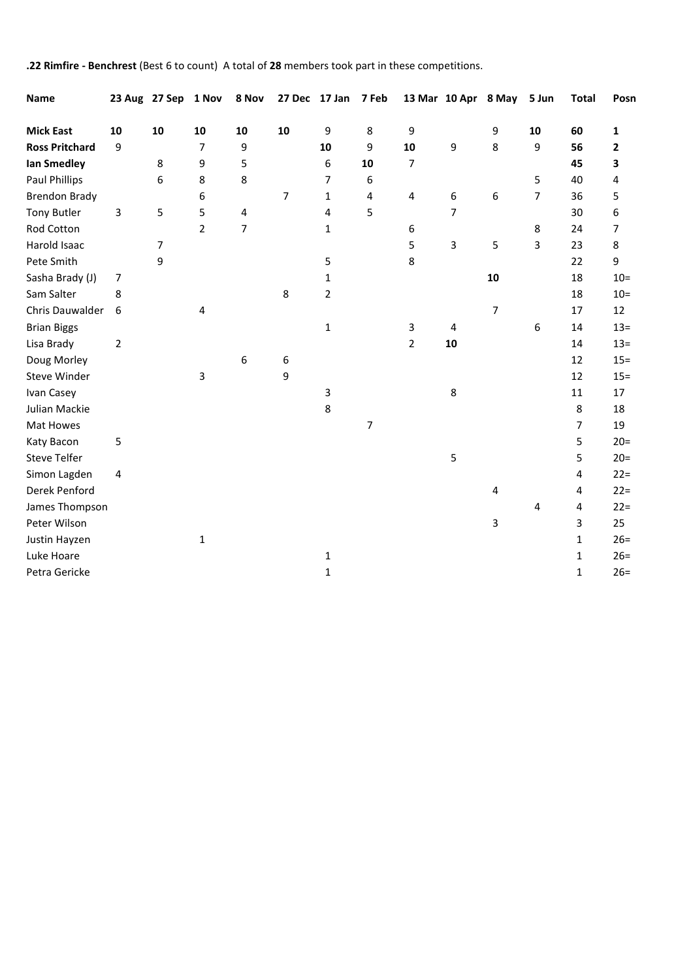**.22 Rimfire - Benchrest** (Best 6 to count) A total of **28** members took part in these competitions.

| Name                  |                | 23 Aug 27 Sep 1 Nov |                | 8 Nov                   |    | 27 Dec 17 Jan 7 Feb |    |                         |    | 13 Mar 10 Apr 8 May | 5 Jun          | <b>Total</b>   | Posn   |
|-----------------------|----------------|---------------------|----------------|-------------------------|----|---------------------|----|-------------------------|----|---------------------|----------------|----------------|--------|
| <b>Mick East</b>      | 10             | 10                  | 10             | 10                      | 10 | 9                   | 8  | 9                       |    | 9                   | 10             | 60             | 1      |
| <b>Ross Pritchard</b> | 9              |                     | $\overline{7}$ | 9                       |    | 10                  | 9  | 10                      | 9  | 8                   | 9              | 56             | 2      |
| <b>Ian Smedley</b>    |                | 8                   | 9              | 5                       |    | 6                   | 10 | $\overline{7}$          |    |                     |                | 45             | 3      |
| <b>Paul Phillips</b>  |                | 6                   | 8              | 8                       |    | $\overline{7}$      | 6  |                         |    |                     | 5              | 40             | 4      |
| <b>Brendon Brady</b>  |                |                     | 6              |                         | 7  | $\mathbf{1}$        | 4  | $\overline{\mathbf{4}}$ | 6  | 6                   | $\overline{7}$ | 36             | 5      |
| <b>Tony Butler</b>    | 3              | 5                   | 5              | $\overline{\mathbf{4}}$ |    | $\overline{4}$      | 5  |                         | 7  |                     |                | 30             | 6      |
| Rod Cotton            |                |                     | $\overline{2}$ | $\overline{7}$          |    | $\mathbf{1}$        |    | 6                       |    |                     | 8              | 24             | 7      |
| Harold Isaac          |                | $\overline{7}$      |                |                         |    |                     |    | 5                       | 3  | 5                   | 3              | 23             | 8      |
| Pete Smith            |                | 9                   |                |                         |    | 5                   |    | 8                       |    |                     |                | 22             | 9      |
| Sasha Brady (J)       | $\overline{7}$ |                     |                |                         |    | $\mathbf{1}$        |    |                         |    | 10                  |                | 18             | $10 =$ |
| Sam Salter            | 8              |                     |                |                         | 8  | $\overline{2}$      |    |                         |    |                     |                | 18             | $10 =$ |
| Chris Dauwalder       | 6              |                     | 4              |                         |    |                     |    |                         |    | $\overline{7}$      |                | 17             | 12     |
| <b>Brian Biggs</b>    |                |                     |                |                         |    | $\mathbf{1}$        |    | 3                       | 4  |                     | 6              | 14             | $13 =$ |
| Lisa Brady            | $\overline{2}$ |                     |                |                         |    |                     |    | $\overline{2}$          | 10 |                     |                | 14             | $13 =$ |
| Doug Morley           |                |                     |                | 6                       | 6  |                     |    |                         |    |                     |                | 12             | $15 =$ |
| Steve Winder          |                |                     | 3              |                         | 9  |                     |    |                         |    |                     |                | 12             | $15 =$ |
| Ivan Casey            |                |                     |                |                         |    | 3                   |    |                         | 8  |                     |                | 11             | 17     |
| Julian Mackie         |                |                     |                |                         |    | 8                   |    |                         |    |                     |                | 8              | 18     |
| Mat Howes             |                |                     |                |                         |    |                     | 7  |                         |    |                     |                | $\overline{7}$ | 19     |
| Katy Bacon            | 5              |                     |                |                         |    |                     |    |                         |    |                     |                | 5              | $20 =$ |
| <b>Steve Telfer</b>   |                |                     |                |                         |    |                     |    |                         | 5  |                     |                | 5              | $20=$  |
| Simon Lagden          | 4              |                     |                |                         |    |                     |    |                         |    |                     |                | 4              | $22 =$ |
| Derek Penford         |                |                     |                |                         |    |                     |    |                         |    | 4                   |                | 4              | $22 =$ |
| James Thompson        |                |                     |                |                         |    |                     |    |                         |    |                     | 4              | 4              | $22 =$ |
| Peter Wilson          |                |                     |                |                         |    |                     |    |                         |    | 3                   |                | 3              | 25     |
| Justin Hayzen         |                |                     | 1              |                         |    |                     |    |                         |    |                     |                | $\mathbf{1}$   | $26=$  |
| Luke Hoare            |                |                     |                |                         |    | $\mathbf 1$         |    |                         |    |                     |                | $\mathbf{1}$   | $26=$  |
| Petra Gericke         |                |                     |                |                         |    | $\mathbf{1}$        |    |                         |    |                     |                | 1              | $26=$  |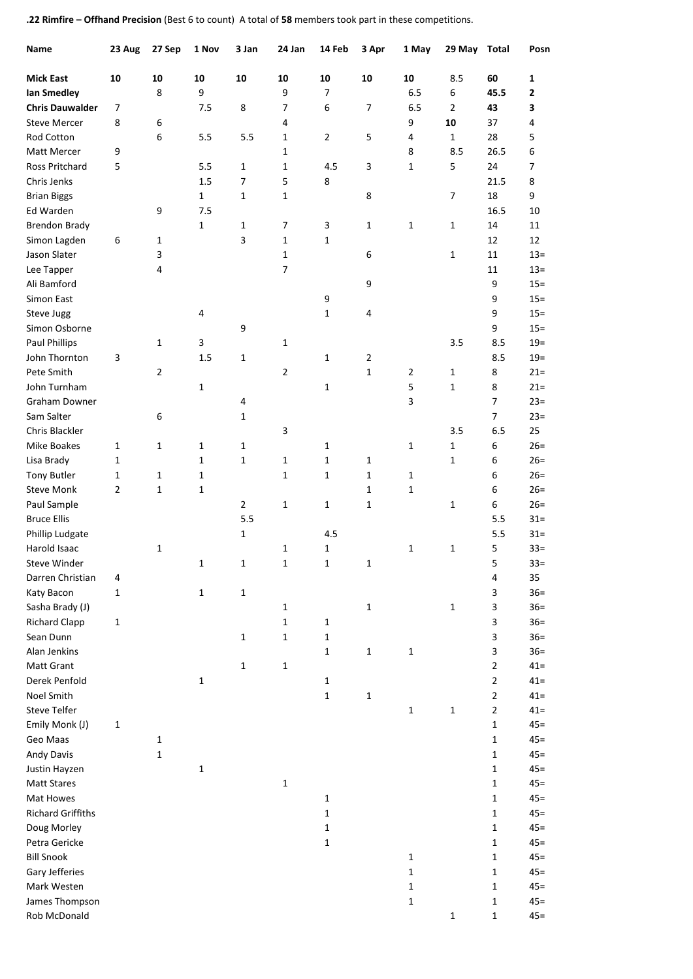**.22 Rimfire – Offhand Precision** (Best 6 to count) A total of **58** members took part in these competitions.

| Name                     | 23 Aug       | 27 Sep | 1 Nov          | 3 Jan          | 24 Jan         | 14 Feb         | 3 Apr          | 1 May          | 29 May Total   |                | Posn             |
|--------------------------|--------------|--------|----------------|----------------|----------------|----------------|----------------|----------------|----------------|----------------|------------------|
| <b>Mick East</b>         | 10           | 10     | 10             | 10             | 10             | 10             | 10             | 10             | 8.5            | 60             | 1                |
| <b>Ian Smedley</b>       |              | 8      | 9              |                | 9              | $\overline{7}$ |                | 6.5            | 6              | 45.5           | 2                |
| <b>Chris Dauwalder</b>   | 7            |        | 7.5            | 8              | 7              | 6              | 7              | 6.5            | $\overline{2}$ | 43             | 3                |
| <b>Steve Mercer</b>      | 8            | 6      |                |                | 4              |                |                | 9              | 10             | 37             | 4                |
| Rod Cotton               |              | 6      | 5.5            | 5.5            | $\mathbf{1}$   | $\overline{2}$ | 5              | 4              | 1              | 28             | 5                |
| Matt Mercer              | 9            |        |                |                | $\mathbf{1}$   |                |                | 8              | 8.5            | 26.5           | 6                |
| Ross Pritchard           | 5            |        | 5.5            | 1              | $\mathbf{1}$   | 4.5            | 3              | 1              | 5              | 24             | $\overline{7}$   |
| Chris Jenks              |              |        | 1.5            | $\overline{7}$ | 5              | 8              |                |                |                | 21.5           | 8                |
| <b>Brian Biggs</b>       |              |        | $\mathbf{1}$   | $\mathbf{1}$   | $\mathbf{1}$   |                | 8              |                | $\overline{7}$ | 18             | 9                |
| Ed Warden                |              | 9      | 7.5            |                |                |                |                |                |                | 16.5           | 10               |
| <b>Brendon Brady</b>     |              |        | 1              | $\mathbf{1}$   | $\overline{7}$ | 3              | 1              | 1              | 1              | 14             | 11               |
| Simon Lagden             | 6            | 1      |                | 3              | $\mathbf{1}$   | $\mathbf{1}$   |                |                |                | 12             | 12               |
| Jason Slater             |              | 3      |                |                | $\mathbf{1}$   |                | 6              |                | 1              | 11             | $13 =$           |
| Lee Tapper               |              | 4      |                |                | $\overline{7}$ |                |                |                |                | 11             | $13 =$           |
| Ali Bamford              |              |        |                |                |                |                | 9              |                |                | 9              | $15 =$           |
| Simon East               |              |        |                |                |                |                |                |                |                | 9              |                  |
|                          |              |        | $\overline{4}$ |                |                | 9              | 4              |                |                | 9              | $15 =$<br>$15 =$ |
| <b>Steve Jugg</b>        |              |        |                |                |                | 1              |                |                |                |                |                  |
| Simon Osborne            |              |        |                | 9              |                |                |                |                |                | 9              | $15 =$           |
| <b>Paul Phillips</b>     |              | 1      | 3              |                | $\mathbf{1}$   |                |                |                | 3.5            | 8.5            | $19=$            |
| John Thornton            | 3            |        | 1.5            | $\mathbf 1$    |                | $\mathbf{1}$   | $\overline{2}$ |                |                | 8.5            | $19 =$           |
| Pete Smith               |              | 2      |                |                | $\overline{2}$ |                | $\mathbf{1}$   | $\overline{2}$ | 1              | 8              | $21 =$           |
| John Turnham             |              |        | $\mathbf 1$    |                |                | 1              |                | 5              | $1\,$          | 8              | $21 =$           |
| Graham Downer            |              |        |                | 4              |                |                |                | 3              |                | 7              | $23=$            |
| Sam Salter               |              | 6      |                | $\mathbf{1}$   |                |                |                |                |                | 7              | $23=$            |
| Chris Blackler           |              |        |                |                | 3              |                |                |                | 3.5            | 6.5            | 25               |
| Mike Boakes              | 1            | 1      | 1              | $\mathbf 1$    |                | 1              |                | 1              | $1\,$          | 6              | $26=$            |
| Lisa Brady               | 1            |        | 1              | $\mathbf{1}$   | $\mathbf{1}$   | 1              | $\mathbf{1}$   |                | $\mathbf{1}$   | 6              | $26=$            |
| <b>Tony Butler</b>       | 1            | 1      | $\mathbf{1}$   |                | $\mathbf{1}$   | 1              | 1              | 1              |                | 6              | $26=$            |
| <b>Steve Monk</b>        | 2            | 1      | 1              |                |                |                | $\mathbf{1}$   | 1              |                | 6              | $26=$            |
| Paul Sample              |              |        |                | $\overline{2}$ | $\mathbf{1}$   | $\mathbf{1}$   | 1              |                | 1              | 6              | $26=$            |
| <b>Bruce Ellis</b>       |              |        |                | 5.5            |                |                |                |                |                | 5.5            | $31 =$           |
| Phillip Ludgate          |              |        |                | $\mathbf{1}$   |                | 4.5            |                |                |                | 5.5            | $31 =$           |
| Harold Isaac             |              | 1      |                |                | $\mathbf 1$    | $\mathbf{1}$   |                | 1              | 1              | 5              | $33 =$           |
| Steve Winder             |              |        | 1              | 1              | $\mathbf 1$    | $\mathbf 1$    | 1              |                |                | 5              | $33 =$           |
| Darren Christian         | 4            |        |                |                |                |                |                |                |                | 4              | 35               |
| Katy Bacon               | 1            |        | $\mathbf 1$    | $\mathbf 1$    |                |                |                |                |                | 3              | $36 =$           |
| Sasha Brady (J)          |              |        |                |                | $\mathbf{1}$   |                | 1              |                | $\mathbf 1$    | 3              | $36=$            |
| <b>Richard Clapp</b>     | 1            |        |                |                | $\mathbf 1$    | $\mathbf 1$    |                |                |                | 3              | $36=$            |
| Sean Dunn                |              |        |                | $\mathbf 1$    | $\mathbf 1$    | $\mathbf{1}$   |                |                |                | 3              | $36=$            |
| Alan Jenkins             |              |        |                |                |                | $\mathbf{1}$   | $\mathbf 1$    | $\mathbf{1}$   |                | 3              | $36=$            |
| Matt Grant               |              |        |                | $\mathbf 1$    | $\mathbf 1$    |                |                |                |                | $\overline{2}$ | $41 =$           |
| Derek Penfold            |              |        | $\mathbf 1$    |                |                | $\mathbf{1}$   |                |                |                | $\overline{2}$ | $41 =$           |
| Noel Smith               |              |        |                |                |                | $\mathbf 1$    | 1              |                |                | $\overline{2}$ | $41 =$           |
| <b>Steve Telfer</b>      |              |        |                |                |                |                |                | $\mathbf 1$    | $\mathbf 1$    | $\overline{2}$ | $41 =$           |
| Emily Monk (J)           | $\mathbf{1}$ |        |                |                |                |                |                |                |                | 1              | $45 =$           |
| Geo Maas                 |              | 1      |                |                |                |                |                |                |                | $\mathbf 1$    | $45 =$           |
| <b>Andy Davis</b>        |              | 1      |                |                |                |                |                |                |                | 1              | $45 =$           |
| Justin Hayzen            |              |        | $\mathbf 1$    |                |                |                |                |                |                | 1              | $45 =$           |
| <b>Matt Stares</b>       |              |        |                |                | $\mathbf 1$    |                |                |                |                | $\mathbf{1}$   | $45 =$           |
| Mat Howes                |              |        |                |                |                | $\mathbf{1}$   |                |                |                | 1              | $45 =$           |
| <b>Richard Griffiths</b> |              |        |                |                |                | $\mathbf{1}$   |                |                |                | $\mathbf{1}$   | $45 =$           |
|                          |              |        |                |                |                |                |                |                |                |                |                  |
| Doug Morley              |              |        |                |                |                | $\mathbf 1$    |                |                |                | 1              | $45 =$           |
| Petra Gericke            |              |        |                |                |                | $\mathbf 1$    |                |                |                | $\mathbf{1}$   | $45 =$           |
| <b>Bill Snook</b>        |              |        |                |                |                |                |                | $\mathbf{1}$   |                | 1              | $45 =$           |
| Gary Jefferies           |              |        |                |                |                |                |                | $\mathbf{1}$   |                | 1              | $45 =$           |
| Mark Westen              |              |        |                |                |                |                |                | $\mathbf{1}$   |                | 1              | $45 =$           |
| James Thompson           |              |        |                |                |                |                |                | 1              |                | 1              | $45 =$           |
| Rob McDonald             |              |        |                |                |                |                |                |                | $\mathbf 1$    | $\mathbf{1}$   | $45 =$           |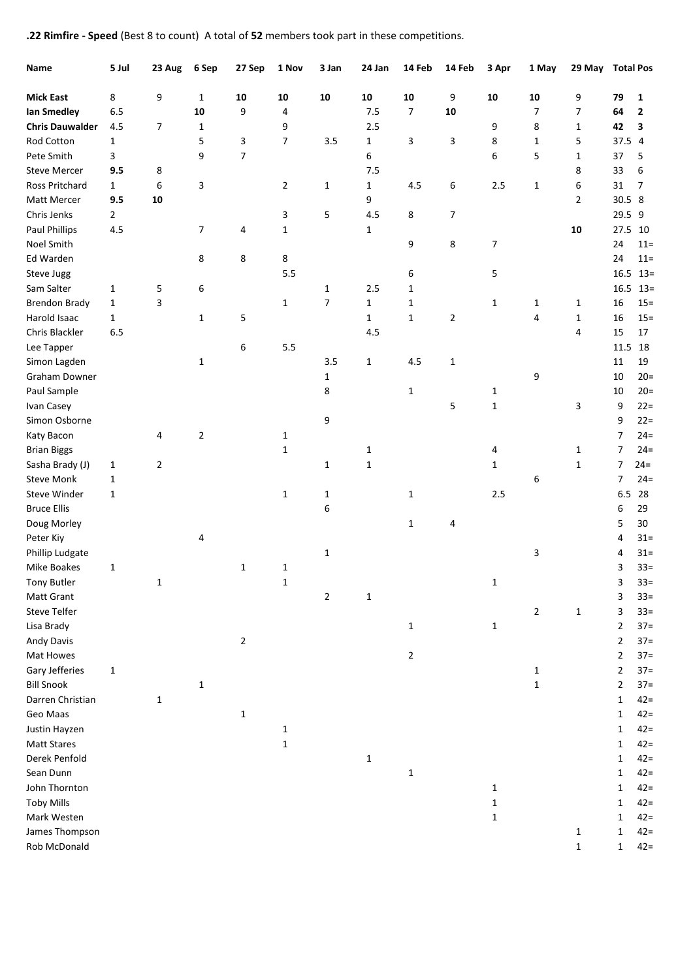**.22 Rimfire - Speed** (Best 8 to count) A total of **52** members took part in these competitions.

| Name                   | 5 Jul          | 23 Aug         | 6 Sep        | 27 Sep       | 1 Nov          | 3 Jan          | 24 Jan       | 14 Feb         | 14 Feb         | 3 Apr        | 1 May          | 29 May Total Pos |                |              |
|------------------------|----------------|----------------|--------------|--------------|----------------|----------------|--------------|----------------|----------------|--------------|----------------|------------------|----------------|--------------|
| <b>Mick East</b>       | 8              | 9              | 1            | 10           | 10             | 10             | 10           | 10             | 9              | 10           | 10             | 9                | 79             | 1            |
| lan Smedley            | 6.5            |                | 10           | 9            | 4              |                | 7.5          | $\overline{7}$ | 10             |              | $\overline{7}$ | 7                | 64             | $\mathbf{2}$ |
| <b>Chris Dauwalder</b> | 4.5            | $\overline{7}$ | $\mathbf{1}$ |              | 9              |                | 2.5          |                |                | 9            | 8              | $\mathbf{1}$     | 42             | 3            |
| Rod Cotton             | $\mathbf{1}$   |                | 5            | 3            | 7              | 3.5            | $\mathbf{1}$ | 3              | 3              | 8            | $\mathbf{1}$   | 5                | 37.5 4         |              |
| Pete Smith             | 3              |                | 9            | 7            |                |                | 6            |                |                | 6            | 5              | 1                | 37             | 5            |
| <b>Steve Mercer</b>    | 9.5            | 8              |              |              |                |                | 7.5          |                |                |              |                | 8                | 33             | 6            |
| <b>Ross Pritchard</b>  | $\mathbf{1}$   | 6              | 3            |              | $\overline{2}$ | $\mathbf{1}$   | $\mathbf{1}$ | 4.5            | 6              | 2.5          | 1              | 6                | 31             | 7            |
| Matt Mercer            | 9.5            | 10             |              |              |                |                | 9            |                |                |              |                | $\overline{2}$   | 30.5 8         |              |
| Chris Jenks            | $\overline{2}$ |                |              |              | 3              | 5              | 4.5          | 8              | $\overline{7}$ |              |                |                  | 29.5 9         |              |
| <b>Paul Phillips</b>   | 4.5            |                | 7            | 4            | $\mathbf{1}$   |                | $\mathbf{1}$ |                |                |              |                | 10               | 27.5           | 10           |
| Noel Smith             |                |                |              |              |                |                |              | 9              | 8              | 7            |                |                  | 24             | $11 =$       |
| Ed Warden              |                |                | 8            | 8            | 8              |                |              |                |                |              |                |                  | 24             | $11 =$       |
| Steve Jugg             |                |                |              |              | 5.5            |                |              | 6              |                | 5            |                |                  | 16.5           | $13 =$       |
| Sam Salter             | 1              | 5              | 6            |              |                | 1              | 2.5          | $\mathbf{1}$   |                |              |                |                  | 16.5           | $13=$        |
| <b>Brendon Brady</b>   | $\mathbf{1}$   | 3              |              |              | $\mathbf{1}$   | 7              | $\mathbf{1}$ | $\mathbf 1$    |                | 1            | 1              | 1                | 16             | $15 =$       |
| Harold Isaac           | $\mathbf{1}$   |                | 1            | 5            |                |                | $\mathbf{1}$ | $\mathbf{1}$   | $\overline{2}$ |              | 4              | 1                | 16             | $15 =$       |
| Chris Blackler         | 6.5            |                |              |              |                |                | 4.5          |                |                |              |                | 4                | 15             | 17           |
| Lee Tapper             |                |                |              | 6            | 5.5            |                |              |                |                |              |                |                  | 11.5           | 18           |
| Simon Lagden           |                |                | $\mathbf{1}$ |              |                | 3.5            | $\mathbf{1}$ | 4.5            | 1              |              |                |                  | 11             | 19           |
| Graham Downer          |                |                |              |              |                | $\mathbf{1}$   |              |                |                |              | 9              |                  | 10             | $20 =$       |
| Paul Sample            |                |                |              |              |                | 8              |              | $\mathbf{1}$   |                | 1            |                |                  | 10             | $20 =$       |
| Ivan Casey             |                |                |              |              |                |                |              |                | 5              | $\mathbf 1$  |                | 3                | 9              | $22 =$       |
| Simon Osborne          |                |                |              |              |                | 9              |              |                |                |              |                |                  | 9              | $22 =$       |
| Katy Bacon             |                | 4              | 2            |              | 1              |                |              |                |                |              |                |                  | $\overline{7}$ | $24 =$       |
| <b>Brian Biggs</b>     |                |                |              |              | $\mathbf{1}$   |                | $\mathbf{1}$ |                |                | 4            |                | 1                | $\overline{7}$ | $24 =$       |
| Sasha Brady (J)        | 1              | 2              |              |              |                | $\mathbf{1}$   | $\mathbf{1}$ |                |                | 1            |                | 1                | $\overline{7}$ | $24 =$       |
| <b>Steve Monk</b>      | $\mathbf{1}$   |                |              |              |                |                |              |                |                |              | 6              |                  | $\overline{7}$ | $24 =$       |
| Steve Winder           | $\mathbf{1}$   |                |              |              | $\mathbf{1}$   | $\mathbf{1}$   |              | $\mathbf{1}$   |                | 2.5          |                |                  | 6.5            | 28           |
| <b>Bruce Ellis</b>     |                |                |              |              |                | 6              |              |                |                |              |                |                  | 6              | 29           |
| Doug Morley            |                |                |              |              |                |                |              | $\mathbf{1}$   | 4              |              |                |                  | 5              | 30           |
| Peter Kiy              |                |                | 4            |              |                |                |              |                |                |              |                |                  | 4              | $31 =$       |
| Phillip Ludgate        |                |                |              |              |                | $\mathbf{1}$   |              |                |                |              | 3              |                  | 4              | $31 =$       |
| Mike Boakes            | 1              |                |              | 1            | 1              |                |              |                |                |              |                |                  | 3              | $33=$        |
| <b>Tony Butler</b>     |                | $\mathbf{1}$   |              |              | $\mathbf{1}$   |                |              |                |                | 1            |                |                  | з              | $33 =$       |
| Matt Grant             |                |                |              |              |                | $\overline{2}$ | $\mathbf{1}$ |                |                |              |                |                  | 3              | $33 =$       |
| Steve Telfer           |                |                |              |              |                |                |              |                |                |              | $\overline{2}$ | $\mathbf{1}$     | 3              | $33=$        |
| Lisa Brady             |                |                |              |              |                |                |              | 1              |                | $\mathbf{1}$ |                |                  | $\overline{2}$ | $37 =$       |
| <b>Andy Davis</b>      |                |                |              | 2            |                |                |              |                |                |              |                |                  | $\overline{2}$ | $37 =$       |
| Mat Howes              |                |                |              |              |                |                |              | 2              |                |              |                |                  | $\overline{2}$ | $37 =$       |
| Gary Jefferies         | 1              |                |              |              |                |                |              |                |                |              | 1              |                  | $\overline{2}$ | $37 =$       |
| <b>Bill Snook</b>      |                |                | 1            |              |                |                |              |                |                |              | $\mathbf{1}$   |                  | $\overline{2}$ | $37 =$       |
| Darren Christian       |                | $\mathbf{1}$   |              |              |                |                |              |                |                |              |                |                  | $\mathbf{1}$   | $42 =$       |
| Geo Maas               |                |                |              | $\mathbf{1}$ |                |                |              |                |                |              |                |                  | $\mathbf{1}$   | $42 =$       |
| Justin Hayzen          |                |                |              |              | 1              |                |              |                |                |              |                |                  | $\mathbf{1}$   | $42 =$       |
| <b>Matt Stares</b>     |                |                |              |              | $\mathbf{1}$   |                |              |                |                |              |                |                  | $\mathbf{1}$   | $42 =$       |
| Derek Penfold          |                |                |              |              |                |                | $\mathbf 1$  |                |                |              |                |                  | $\mathbf{1}$   | $42 =$       |
| Sean Dunn              |                |                |              |              |                |                |              | 1              |                |              |                |                  | $\mathbf{1}$   | $42 =$       |
| John Thornton          |                |                |              |              |                |                |              |                |                | 1            |                |                  | $\mathbf{1}$   | $42 =$       |
| <b>Toby Mills</b>      |                |                |              |              |                |                |              |                |                | $\mathbf 1$  |                |                  | $\mathbf{1}$   | $42 =$       |
| Mark Westen            |                |                |              |              |                |                |              |                |                | 1            |                |                  | $\mathbf{1}$   | $42 =$       |
| James Thompson         |                |                |              |              |                |                |              |                |                |              |                | 1                | $\mathbf{1}$   | $42 =$       |
| Rob McDonald           |                |                |              |              |                |                |              |                |                |              |                | 1                | $\mathbf{1}$   | $42 =$       |
|                        |                |                |              |              |                |                |              |                |                |              |                |                  |                |              |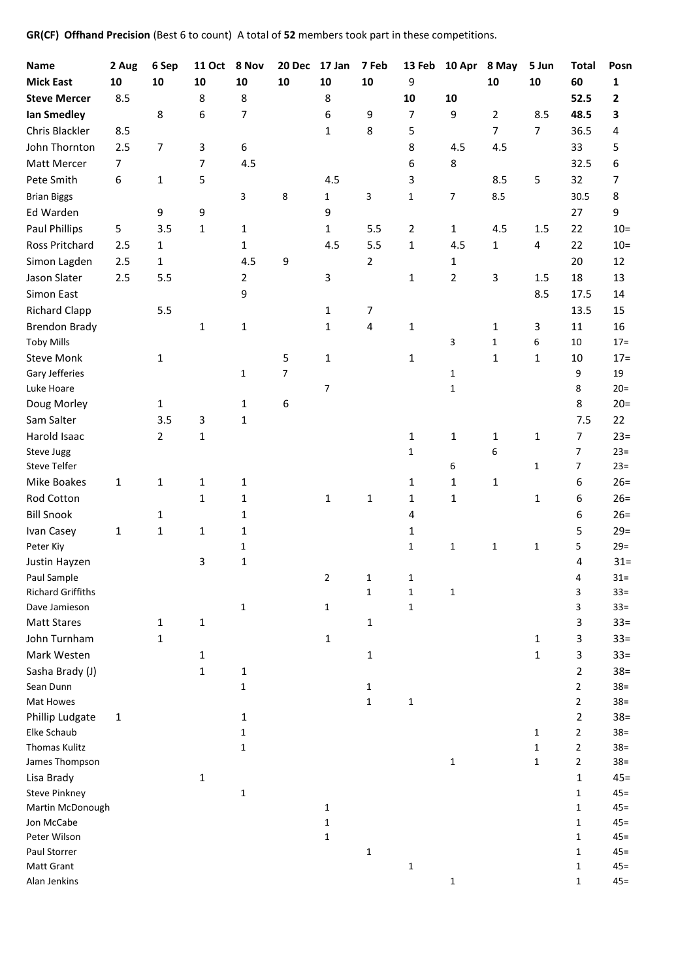**GR(CF) Offhand Precision** (Best 6 to count) A total of **52** members took part in these competitions.

| <b>Name</b>                               | 2 Aug          | 6 Sep          | <b>11 Oct</b> | 8 Nov          | 20 Dec     | 17 Jan         | 7 Feb        | 13 Feb         | 10 Apr         | 8 May             | 5 Jun          | <b>Total</b>            | Posn             |
|-------------------------------------------|----------------|----------------|---------------|----------------|------------|----------------|--------------|----------------|----------------|-------------------|----------------|-------------------------|------------------|
| <b>Mick East</b>                          | 10             | 10             | 10            | 10             | ${\bf 10}$ | 10             | 10           | 9              |                | 10                | 10             | 60                      | $\mathbf{1}$     |
| <b>Steve Mercer</b>                       | 8.5            |                | 8             | 8              |            | 8              |              | 10             | 10             |                   |                | 52.5                    | $\mathbf{2}$     |
| lan Smedley                               |                | 8              | 6             | 7              |            | 6              | 9            | $\overline{7}$ | 9              | $\overline{2}$    | 8.5            | 48.5                    | 3                |
| Chris Blackler                            | 8.5            |                |               |                |            | $\mathbf{1}$   | 8            | 5              |                | $\overline{7}$    | $\overline{7}$ | 36.5                    | 4                |
| John Thornton                             | 2.5            | 7              | 3             | 6              |            |                |              | 8              | 4.5            | 4.5               |                | 33                      | 5                |
| Matt Mercer                               | $\overline{7}$ |                | 7             | 4.5            |            |                |              | 6              | 8              |                   |                | 32.5                    | 6                |
| Pete Smith                                | 6              | $\mathbf{1}$   | 5             |                |            | 4.5            |              | 3              |                | 8.5               | 5              | 32                      | 7                |
| <b>Brian Biggs</b>                        |                |                |               | 3              | 8          | $\mathbf{1}$   | 3            | $\mathbf{1}$   | 7              | 8.5               |                | 30.5                    | 8                |
| Ed Warden                                 |                | 9              | 9             |                |            | 9              |              |                |                |                   |                | 27                      | 9                |
| <b>Paul Phillips</b>                      | 5              | 3.5            | 1             | $\mathbf{1}$   |            | $\mathbf{1}$   | 5.5          | $\overline{2}$ | $\mathbf{1}$   | 4.5               | 1.5            | 22                      | $10 =$           |
| Ross Pritchard                            | 2.5            | $\mathbf{1}$   |               | $\mathbf{1}$   |            | 4.5            | 5.5          | 1              | 4.5            | $\mathbf{1}$      | 4              | 22                      | $10 =$           |
| Simon Lagden                              | 2.5            | $\mathbf{1}$   |               | 4.5            | 9          |                | 2            |                | $\mathbf{1}$   |                   |                | 20                      | 12               |
| Jason Slater                              | 2.5            | 5.5            |               | $\overline{2}$ |            | 3              |              | $\mathbf{1}$   | $\overline{2}$ | $\mathbf{3}$      | 1.5            | 18                      | 13               |
| Simon East                                |                |                |               | 9              |            |                |              |                |                |                   | 8.5            | 17.5                    | 14               |
| <b>Richard Clapp</b>                      |                | 5.5            |               |                |            | $\mathbf{1}$   | 7            |                |                |                   |                | 13.5                    | 15               |
|                                           |                |                |               |                |            |                |              |                |                |                   |                |                         | 16               |
| <b>Brendon Brady</b><br><b>Toby Mills</b> |                |                | 1             | 1              |            | $\mathbf{1}$   | 4            | $\mathbf{1}$   | 3              | 1<br>$\mathbf{1}$ | 3<br>6         | 11<br>10                | $17 =$           |
| <b>Steve Monk</b>                         |                |                |               |                | 5          | $\mathbf 1$    |              | $\mathbf{1}$   |                | $\mathbf{1}$      | 1              | 10                      | $17 =$           |
| Gary Jefferies                            |                | 1              |               | 1              | 7          |                |              |                | $\mathbf{1}$   |                   |                | 9                       | 19               |
| Luke Hoare                                |                |                |               |                |            | $\overline{7}$ |              |                | $\mathbf{1}$   |                   |                | 8                       | $20=$            |
| Doug Morley                               |                | $\mathbf{1}$   |               | $\mathbf{1}$   | 6          |                |              |                |                |                   |                | 8                       | $20=$            |
| Sam Salter                                |                | 3.5            | 3             | 1              |            |                |              |                |                |                   |                | 7.5                     | 22               |
| Harold Isaac                              |                | $\overline{2}$ | 1             |                |            |                |              | $\mathbf{1}$   | 1              | $\mathbf{1}$      | 1              | 7                       | $23=$            |
| Steve Jugg                                |                |                |               |                |            |                |              | $\mathbf{1}$   |                | 6                 |                | 7                       | $23=$            |
| <b>Steve Telfer</b>                       |                |                |               |                |            |                |              |                | 6              |                   | $\mathbf{1}$   | 7                       | $23=$            |
| Mike Boakes                               | 1              | 1              | 1             | 1              |            |                |              | $\mathbf{1}$   | 1              | $\mathbf{1}$      |                | 6                       | $26=$            |
| Rod Cotton                                |                |                | 1             | $\mathbf{1}$   |            | $\mathbf{1}$   | 1            | $\mathbf{1}$   | 1              |                   | $\mathbf{1}$   | 6                       | $26=$            |
| <b>Bill Snook</b>                         |                | $\mathbf{1}$   |               | 1              |            |                |              | 4              |                |                   |                | 6                       | $26=$            |
| Ivan Casey                                | 1              | $\mathbf{1}$   | 1             | 1              |            |                |              | 1              |                |                   |                | 5                       | $29=$            |
| Peter Kiy                                 |                |                |               | 1              |            |                |              | $\mathbf{1}$   | $\mathbf{1}$   | $\mathbf{1}$      | $\mathbf{1}$   | 5                       | $29=$            |
| Justin Hayzen                             |                |                | 3             | 1              |            |                |              |                |                |                   |                | 4                       | $31 =$           |
| Paul Sample                               |                |                |               |                |            | $\overline{2}$ | $\mathbf{1}$ | 1              |                |                   |                | Δ                       | $31 =$           |
| <b>Richard Griffiths</b>                  |                |                |               |                |            |                | $\mathbf 1$  | $\mathbf{1}$   | 1              |                   |                | 3                       | $33 =$           |
| Dave Jamieson                             |                |                |               | $\mathbf 1$    |            | $\mathbf{1}$   |              | $\mathbf 1$    |                |                   |                | 3                       | $33 =$           |
| <b>Matt Stares</b>                        |                | $\mathbf{1}$   | 1             |                |            |                | $\mathbf{1}$ |                |                |                   |                | 3                       | $33 =$           |
| John Turnham                              |                | $\mathbf{1}$   |               |                |            | $\mathbf 1$    |              |                |                |                   | 1              | 3                       | $33 =$           |
| Mark Westen                               |                |                | 1             |                |            |                | $\mathbf{1}$ |                |                |                   | 1              | 3                       | $33 =$           |
| Sasha Brady (J)                           |                |                | 1             | $\mathbf 1$    |            |                |              |                |                |                   |                | $\overline{2}$          | $38 =$           |
| Sean Dunn                                 |                |                |               | $\mathbf{1}$   |            |                | $\mathbf{1}$ |                |                |                   |                | 2                       | $38 =$           |
| Mat Howes                                 |                |                |               |                |            |                | $\mathbf{1}$ | $\mathbf{1}$   |                |                   |                | 2                       | $38 =$           |
| Phillip Ludgate                           | 1              |                |               | 1              |            |                |              |                |                |                   |                | $\overline{2}$          | $38 =$           |
| Elke Schaub                               |                |                |               | 1              |            |                |              |                |                |                   | $\mathbf{1}$   | $\overline{\mathbf{c}}$ | $38 =$           |
| Thomas Kulitz                             |                |                |               | 1              |            |                |              |                |                |                   | $\mathbf{1}$   | 2                       | $38 =$           |
| James Thompson                            |                |                |               |                |            |                |              |                | $\mathbf{1}$   |                   | $\mathbf{1}$   | 2                       | $38 =$           |
| Lisa Brady                                |                |                | 1             |                |            |                |              |                |                |                   |                | 1                       | $45 =$           |
| <b>Steve Pinkney</b>                      |                |                |               | $\mathbf{1}$   |            |                |              |                |                |                   |                | 1                       | $45 =$           |
| Martin McDonough                          |                |                |               |                |            | 1              |              |                |                |                   |                | $\mathbf{1}$            | $45 =$           |
| Jon McCabe                                |                |                |               |                |            | $\mathbf{1}$   |              |                |                |                   |                | 1                       | $45 =$           |
| Peter Wilson                              |                |                |               |                |            | $\mathbf 1$    |              |                |                |                   |                | 1                       | $45 =$           |
| Paul Storrer                              |                |                |               |                |            |                | $\mathbf{1}$ |                |                |                   |                | 1                       | $45 =$           |
| Matt Grant<br>Alan Jenkins                |                |                |               |                |            |                |              | $\mathbf 1$    |                |                   |                | 1                       | $45 =$<br>$45 =$ |
|                                           |                |                |               |                |            |                |              |                | $\mathbf{1}$   |                   |                | 1                       |                  |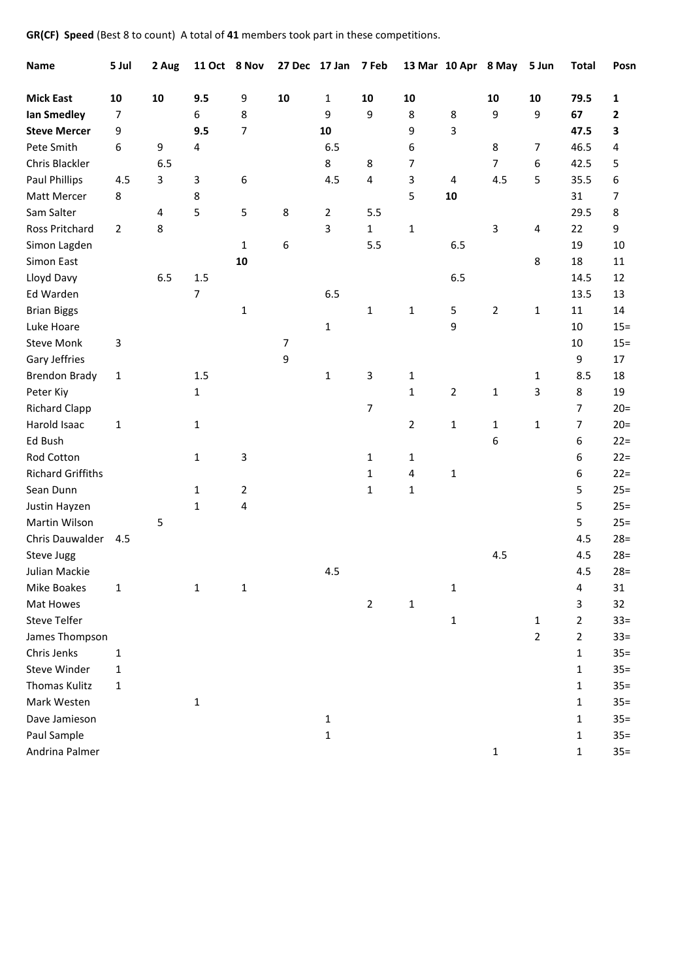**GR(CF) Speed** (Best 8 to count) A total of **41** members took part in these competitions.

| <b>Name</b>              | 5 Jul          | 2 Aug | 11 Oct 8 Nov            |                |            | 27 Dec 17 Jan 7 Feb |                |                |              | 13 Mar 10 Apr 8 May | 5 Jun          | <b>Total</b>   | Posn   |
|--------------------------|----------------|-------|-------------------------|----------------|------------|---------------------|----------------|----------------|--------------|---------------------|----------------|----------------|--------|
| <b>Mick East</b>         | 10             | 10    | 9.5                     | 9              | ${\bf 10}$ | 1                   | 10             | 10             |              | 10                  | 10             | 79.5           | 1      |
| lan Smedley              | 7              |       | 6                       | 8              |            | 9                   | 9              | 8              | 8            | 9                   | 9              | 67             | 2      |
| <b>Steve Mercer</b>      | 9              |       | 9.5                     | $\overline{7}$ |            | 10                  |                | 9              | 3            |                     |                | 47.5           | 3      |
| Pete Smith               | 6              | 9     | $\overline{\mathbf{4}}$ |                |            | 6.5                 |                | 6              |              | 8                   | $\overline{7}$ | 46.5           | 4      |
| Chris Blackler           |                | 6.5   |                         |                |            | 8                   | 8              | $\overline{7}$ |              | $\overline{7}$      | 6              | 42.5           | 5      |
| Paul Phillips            | 4.5            | 3     | 3                       | 6              |            | 4.5                 | 4              | 3              | 4            | 4.5                 | 5              | 35.5           | 6      |
| Matt Mercer              | 8              |       | 8                       |                |            |                     |                | 5              | ${\bf 10}$   |                     |                | 31             | 7      |
| Sam Salter               |                | 4     | 5                       | 5              | 8          | $\overline{2}$      | 5.5            |                |              |                     |                | 29.5           | 8      |
| Ross Pritchard           | $\overline{2}$ | 8     |                         |                |            | 3                   | $\mathbf 1$    | $\mathbf 1$    |              | 3                   | 4              | 22             | 9      |
| Simon Lagden             |                |       |                         | $\mathbf{1}$   | 6          |                     | 5.5            |                | 6.5          |                     |                | 19             | 10     |
| Simon East               |                |       |                         | 10             |            |                     |                |                |              |                     | 8              | 18             | 11     |
| Lloyd Davy               |                | 6.5   | 1.5                     |                |            |                     |                |                | 6.5          |                     |                | 14.5           | 12     |
| Ed Warden                |                |       | $\overline{7}$          |                |            | 6.5                 |                |                |              |                     |                | 13.5           | 13     |
| <b>Brian Biggs</b>       |                |       |                         | $\mathbf{1}$   |            |                     | $\mathbf 1$    | $\mathbf 1$    | 5            | $\overline{2}$      | $\mathbf{1}$   | 11             | 14     |
| Luke Hoare               |                |       |                         |                |            | 1                   |                |                | 9            |                     |                | 10             | $15 =$ |
| <b>Steve Monk</b>        | 3              |       |                         |                | 7          |                     |                |                |              |                     |                | 10             | $15 =$ |
| Gary Jeffries            |                |       |                         |                | 9          |                     |                |                |              |                     |                | 9              | 17     |
| <b>Brendon Brady</b>     | 1              |       | 1.5                     |                |            | 1                   | 3              | $\mathbf 1$    |              |                     | 1              | 8.5            | 18     |
| Peter Kiy                |                |       | $\mathbf{1}$            |                |            |                     |                | $\mathbf 1$    | 2            | 1                   | 3              | 8              | 19     |
| <b>Richard Clapp</b>     |                |       |                         |                |            |                     | 7              |                |              |                     |                | 7              | $20=$  |
| Harold Isaac             | 1              |       | 1                       |                |            |                     |                | $\overline{2}$ | $\mathbf{1}$ | $\mathbf{1}$        | $\mathbf{1}$   | $\overline{7}$ | $20=$  |
| Ed Bush                  |                |       |                         |                |            |                     |                |                |              | 6                   |                | 6              | $22 =$ |
| Rod Cotton               |                |       | 1                       | 3              |            |                     | $\mathbf{1}$   | $\mathbf 1$    |              |                     |                | 6              | $22 =$ |
| <b>Richard Griffiths</b> |                |       |                         |                |            |                     | 1              | $\pmb{4}$      | $\mathbf{1}$ |                     |                | 6              | $22 =$ |
| Sean Dunn                |                |       | 1                       | $\overline{2}$ |            |                     | $\mathbf{1}$   | $\mathbf 1$    |              |                     |                | 5              | $25 =$ |
| Justin Hayzen            |                |       | 1                       | $\overline{4}$ |            |                     |                |                |              |                     |                | 5              | $25 =$ |
| Martin Wilson            |                | 5     |                         |                |            |                     |                |                |              |                     |                | 5              | $25 =$ |
| Chris Dauwalder          | 4.5            |       |                         |                |            |                     |                |                |              |                     |                | 4.5            | $28 =$ |
| Steve Jugg               |                |       |                         |                |            |                     |                |                |              | 4.5                 |                | 4.5            | $28 =$ |
| Julian Mackie            |                |       |                         |                |            | 4.5                 |                |                |              |                     |                | 4.5            | $28 =$ |
| Mike Boakes              | $\mathbf 1$    |       | 1                       | $\mathbf 1$    |            |                     |                |                | $\mathbf 1$  |                     |                | 4              | 31     |
| Mat Howes                |                |       |                         |                |            |                     | $\overline{2}$ | $\mathbf 1$    |              |                     |                | 3              | 32     |
| <b>Steve Telfer</b>      |                |       |                         |                |            |                     |                |                | $\mathbf{1}$ |                     | $\mathbf{1}$   | 2              | $33 =$ |
| James Thompson           |                |       |                         |                |            |                     |                |                |              |                     | $\overline{2}$ | $\overline{2}$ | $33 =$ |
| Chris Jenks              | 1              |       |                         |                |            |                     |                |                |              |                     |                | $\mathbf{1}$   | $35 =$ |
| Steve Winder             | 1              |       |                         |                |            |                     |                |                |              |                     |                | 1              | $35 =$ |
| <b>Thomas Kulitz</b>     | 1              |       |                         |                |            |                     |                |                |              |                     |                | 1              | $35 =$ |
| Mark Westen              |                |       | 1                       |                |            |                     |                |                |              |                     |                | 1              | $35 =$ |
| Dave Jamieson            |                |       |                         |                |            | 1                   |                |                |              |                     |                | 1              | $35 =$ |
| Paul Sample              |                |       |                         |                |            | 1                   |                |                |              |                     |                | 1              | $35 =$ |
| Andrina Palmer           |                |       |                         |                |            |                     |                |                |              | 1                   |                | $\mathbf{1}$   | $35 =$ |